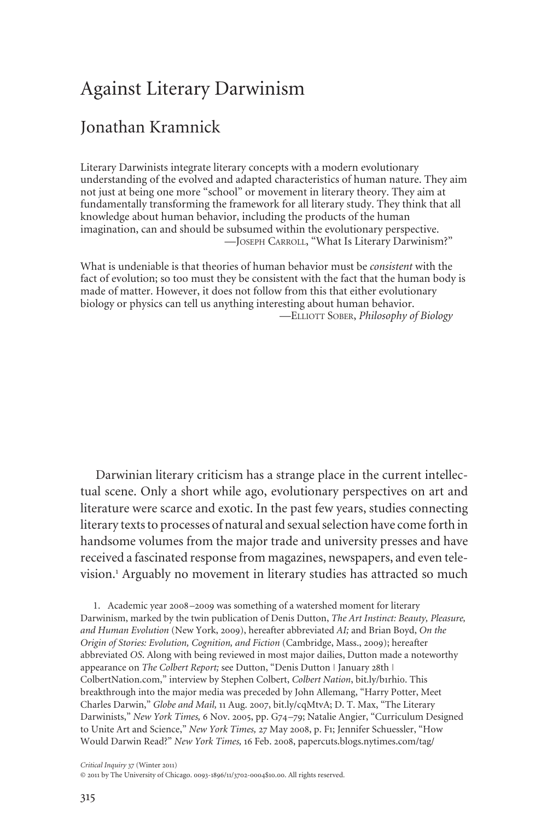# Against Literary Darwinism

# Jonathan Kramnick

Literary Darwinists integrate literary concepts with a modern evolutionary understanding of the evolved and adapted characteristics of human nature. They aim not just at being one more "school" or movement in literary theory. They aim at fundamentally transforming the framework for all literary study. They think that all knowledge about human behavior, including the products of the human imagination, can and should be subsumed within the evolutionary perspective. —JOSEPH CARROLL, "What Is Literary Darwinism?"

What is undeniable is that theories of human behavior must be *consistent* with the fact of evolution; so too must they be consistent with the fact that the human body is made of matter. However, it does not follow from this that either evolutionary biology or physics can tell us anything interesting about human behavior. —ELLIOTT SOBER, *Philosophy of Biology*

Darwinian literary criticism has a strange place in the current intellectual scene. Only a short while ago, evolutionary perspectives on art and literature were scarce and exotic. In the past few years, studies connecting literary texts to processes of natural and sexual selection have come forth in handsome volumes from the major trade and university presses and have received a fascinated response from magazines, newspapers, and even television.<sup>1</sup> Arguably no movement in literary studies has attracted so much

1. Academic year 2008–2009 was something of a watershed moment for literary Darwinism, marked by the twin publication of Denis Dutton, *The Art Instinct: Beauty, Pleasure, and Human Evolution* (New York, 2009), hereafter abbreviated *AI;* and Brian Boyd, *On the Origin of Stories: Evolution, Cognition, and Fiction* (Cambridge, Mass., 2009); hereafter abbreviated *OS*. Along with being reviewed in most major dailies, Dutton made a noteworthy appearance on *The Colbert Report*; see Dutton, "Denis Dutton | January 28th | ColbertNation.com," interview by Stephen Colbert, *Colbert Nation*, bit.ly/b1rhio. This breakthrough into the major media was preceded by John Allemang, "Harry Potter, Meet Charles Darwin," *Globe and Mail,* 11 Aug. 2007, bit.ly/cqMtvA; D. T. Max, "The Literary Darwinists," *New York Times,* 6 Nov. 2005, pp. G74–79; Natalie Angier, "Curriculum Designed to Unite Art and Science," *New York Times,* 27 May 2008, p. F1; Jennifer Schuessler, "How Would Darwin Read?" *New York Times,* 16 Feb. 2008, papercuts.blogs.nytimes.com/tag/

<sup>©</sup> 2011 by The University of Chicago. 0093-1896/11/3702-0004\$10.00. All rights reserved.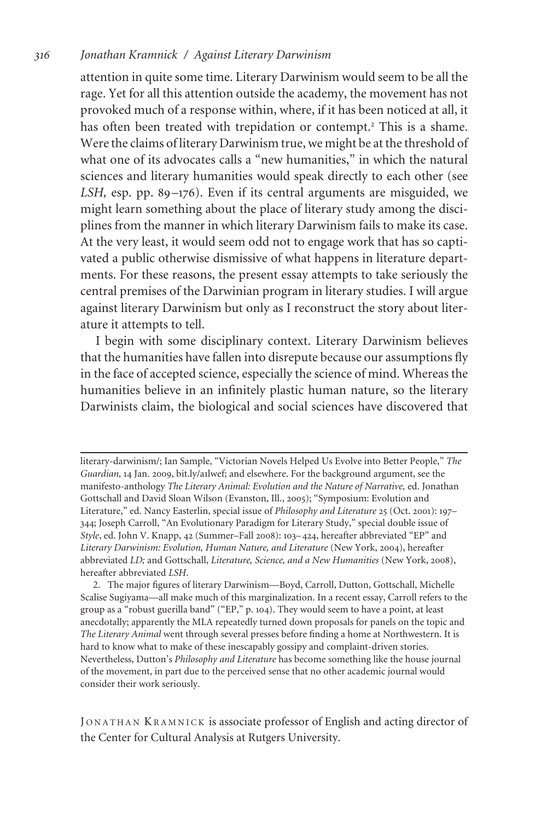attention in quite some time. Literary Darwinism would seem to be all the rage. Yet for all this attention outside the academy, the movement has not provoked much of a response within, where, if it has been noticed at all, it has often been treated with trepidation or contempt.<sup>2</sup> This is a shame. Were the claims of literary Darwinism true, we might be at the threshold of what one of its advocates calls a "new humanities," in which the natural sciences and literary humanities would speak directly to each other (see *LSH,* esp. pp. 89–176). Even if its central arguments are misguided, we might learn something about the place of literary study among the disciplines from the manner in which literary Darwinism fails to make its case. At the very least, it would seem odd not to engage work that has so captivated a public otherwise dismissive of what happens in literature departments. For these reasons, the present essay attempts to take seriously the central premises of the Darwinian program in literary studies. I will argue against literary Darwinism but only as I reconstruct the story about literature it attempts to tell.

I begin with some disciplinary context. Literary Darwinism believes that the humanities have fallen into disrepute because our assumptions fly in the face of accepted science, especially the science of mind. Whereas the humanities believe in an infinitely plastic human nature, so the literary Darwinists claim, the biological and social sciences have discovered that

2. The major figures of literary Darwinism—Boyd, Carroll, Dutton, Gottschall, Michelle Scalise Sugiyama—all make much of this marginalization. In a recent essay, Carroll refers to the group as a "robust guerilla band" ("EP," p. 104). They would seem to have a point, at least anecdotally; apparently the MLA repeatedly turned down proposals for panels on the topic and *The Literary Animal* went through several presses before finding a home at Northwestern. It is hard to know what to make of these inescapably gossipy and complaint-driven stories. Nevertheless, Dutton's *Philosophy and Literature* has become something like the house journal of the movement, in part due to the perceived sense that no other academic journal would consider their work seriously.

JONATHAN KRAMNICK is associate professor of English and acting director of the Center for Cultural Analysis at Rutgers University.

literary-darwinism/; Ian Sample, "Victorian Novels Helped Us Evolve into Better People," *The Guardian,* 14 Jan. 2009, bit.ly/a1lwef; and elsewhere. For the background argument, see the manifesto-anthology *The Literary Animal: Evolution and the Nature of Narrative,* ed. Jonathan Gottschall and David Sloan Wilson (Evanston, Ill., 2005); "Symposium: Evolution and Literature," ed. Nancy Easterlin, special issue of *Philosophy and Literature* 25 (Oct. 2001): 197– 344; Joseph Carroll, "An Evolutionary Paradigm for Literary Study," special double issue of *Style*, ed. John V. Knapp, 42 (Summer–Fall 2008): 103–424, hereafter abbreviated "EP" and *Literary Darwinism: Evolution, Human Nature, and Literature* (New York, 2004), hereafter abbreviated *LD;* and Gottschall, *Literature, Science, and a New Humanities* (New York, 2008), hereafter abbreviated *LSH*.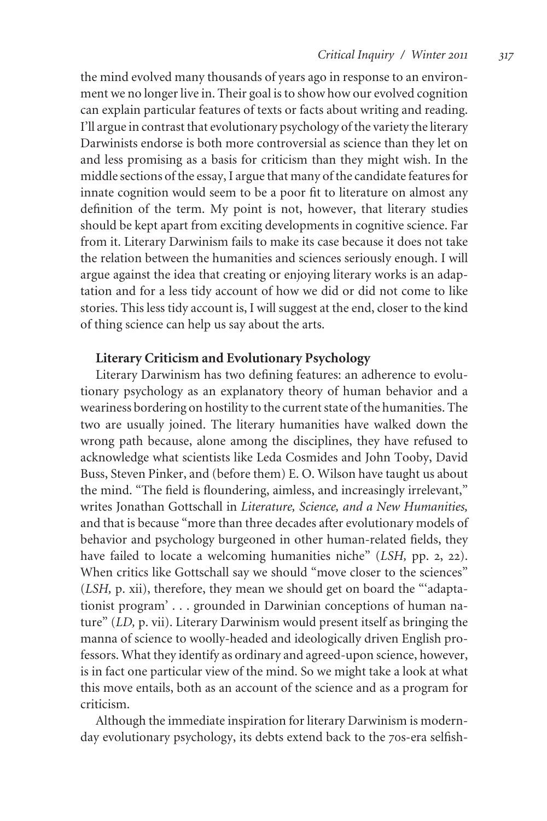the mind evolved many thousands of years ago in response to an environment we no longer live in. Their goal is to show how our evolved cognition can explain particular features of texts or facts about writing and reading. I'll argue in contrast that evolutionary psychology of the variety the literary Darwinists endorse is both more controversial as science than they let on and less promising as a basis for criticism than they might wish. In the middle sections of the essay, I argue that many of the candidate features for innate cognition would seem to be a poor fit to literature on almost any definition of the term. My point is not, however, that literary studies should be kept apart from exciting developments in cognitive science. Far from it. Literary Darwinism fails to make its case because it does not take the relation between the humanities and sciences seriously enough. I will argue against the idea that creating or enjoying literary works is an adaptation and for a less tidy account of how we did or did not come to like stories. This less tidy account is, I will suggest at the end, closer to the kind of thing science can help us say about the arts.

# **Literary Criticism and Evolutionary Psychology**

Literary Darwinism has two defining features: an adherence to evolutionary psychology as an explanatory theory of human behavior and a weariness bordering on hostility to the current state of the humanities. The two are usually joined. The literary humanities have walked down the wrong path because, alone among the disciplines, they have refused to acknowledge what scientists like Leda Cosmides and John Tooby, David Buss, Steven Pinker, and (before them) E. O. Wilson have taught us about the mind. "The field is floundering, aimless, and increasingly irrelevant," writes Jonathan Gottschall in *Literature, Science, and a New Humanities,* and that is because "more than three decades after evolutionary models of behavior and psychology burgeoned in other human-related fields, they have failed to locate a welcoming humanities niche" (*LSH,* pp. 2, 22). When critics like Gottschall say we should "move closer to the sciences" (*LSH,* p. xii), therefore, they mean we should get on board the "'adaptationist program'... grounded in Darwinian conceptions of human nature" (*LD,* p. vii). Literary Darwinism would present itself as bringing the manna of science to woolly-headed and ideologically driven English professors. What they identify as ordinary and agreed-upon science, however, is in fact one particular view of the mind. So we might take a look at what this move entails, both as an account of the science and as a program for criticism.

Although the immediate inspiration for literary Darwinism is modernday evolutionary psychology, its debts extend back to the 70s-era selfish-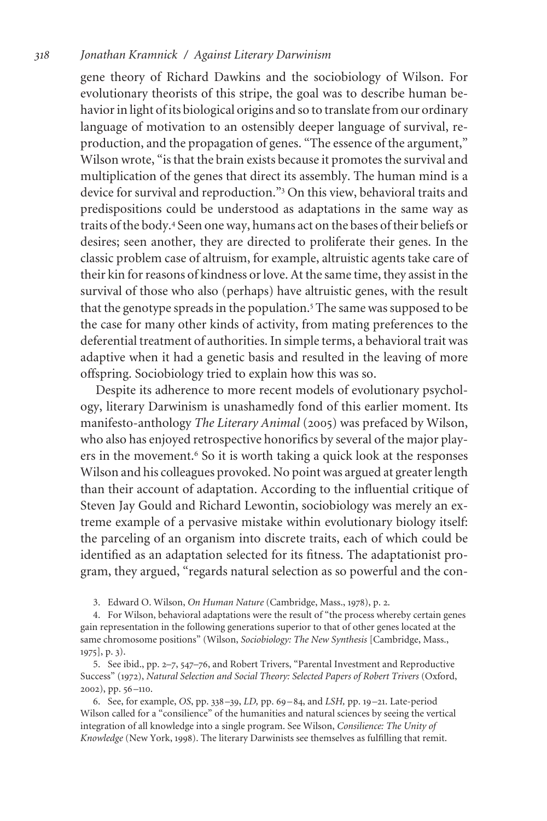gene theory of Richard Dawkins and the sociobiology of Wilson. For evolutionary theorists of this stripe, the goal was to describe human behavior in light of its biological origins and so to translate from our ordinary language of motivation to an ostensibly deeper language of survival, reproduction, and the propagation of genes. "The essence of the argument," Wilson wrote, "is that the brain exists because it promotes the survival and multiplication of the genes that direct its assembly. The human mind is a device for survival and reproduction."<sup>3</sup> On this view, behavioral traits and predispositions could be understood as adaptations in the same way as traits of the body.<sup>4</sup> Seen one way, humans act on the bases of their beliefs or desires; seen another, they are directed to proliferate their genes. In the classic problem case of altruism, for example, altruistic agents take care of their kin for reasons of kindness or love. At the same time, they assist in the survival of those who also (perhaps) have altruistic genes, with the result that the genotype spreads in the population.<sup>5</sup> The same was supposed to be the case for many other kinds of activity, from mating preferences to the deferential treatment of authorities. In simple terms, a behavioral trait was adaptive when it had a genetic basis and resulted in the leaving of more offspring. Sociobiology tried to explain how this was so.

Despite its adherence to more recent models of evolutionary psychology, literary Darwinism is unashamedly fond of this earlier moment. Its manifesto-anthology *The Literary Animal* (2005) was prefaced by Wilson, who also has enjoyed retrospective honorifics by several of the major players in the movement.<sup>6</sup> So it is worth taking a quick look at the responses Wilson and his colleagues provoked. No point was argued at greater length than their account of adaptation. According to the influential critique of Steven Jay Gould and Richard Lewontin, sociobiology was merely an extreme example of a pervasive mistake within evolutionary biology itself: the parceling of an organism into discrete traits, each of which could be identified as an adaptation selected for its fitness. The adaptationist program, they argued, "regards natural selection as so powerful and the con-

3. Edward O. Wilson, *On Human Nature* (Cambridge, Mass., 1978), p. 2.

4. For Wilson, behavioral adaptations were the result of "the process whereby certain genes gain representation in the following generations superior to that of other genes located at the same chromosome positions" (Wilson, *Sociobiology: The New Synthesis* [Cambridge, Mass., 1975], p. 3).

5. See ibid., pp. 2–7, 547–76, and Robert Trivers, "Parental Investment and Reproductive Success" (1972), *Natural Selection and Social Theory: Selected Papers of Robert Trivers* (Oxford, 2002), pp. 56–110.

6. See, for example, *OS*, pp. 338–39, *LD,* pp. 69–84, and *LSH,* pp. 19–21. Late-period Wilson called for a "consilience" of the humanities and natural sciences by seeing the vertical integration of all knowledge into a single program. See Wilson, *Consilience: The Unity of Knowledge* (New York, 1998). The literary Darwinists see themselves as fulfilling that remit.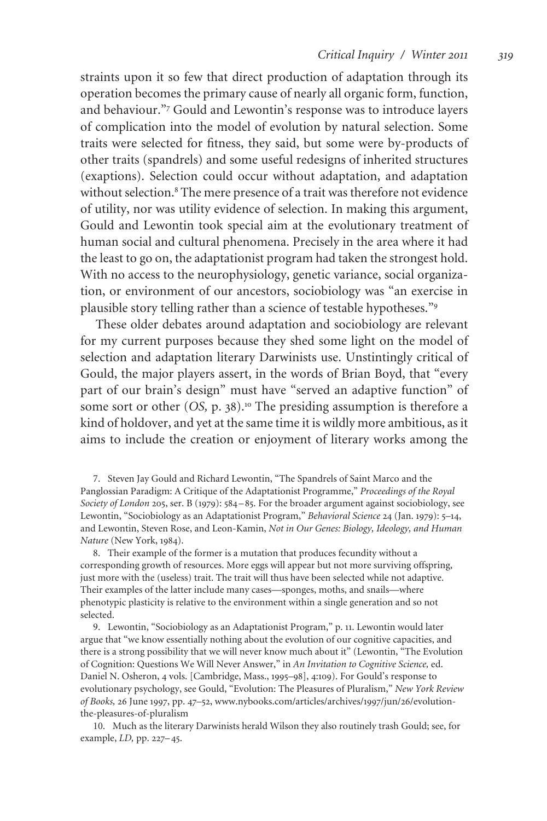straints upon it so few that direct production of adaptation through its operation becomes the primary cause of nearly all organic form, function, and behaviour."<sup>7</sup> Gould and Lewontin's response was to introduce layers of complication into the model of evolution by natural selection. Some traits were selected for fitness, they said, but some were by-products of other traits (spandrels) and some useful redesigns of inherited structures (exaptions). Selection could occur without adaptation, and adaptation without selection.<sup>8</sup> The mere presence of a trait was therefore not evidence of utility, nor was utility evidence of selection. In making this argument, Gould and Lewontin took special aim at the evolutionary treatment of human social and cultural phenomena. Precisely in the area where it had the least to go on, the adaptationist program had taken the strongest hold. With no access to the neurophysiology, genetic variance, social organization, or environment of our ancestors, sociobiology was "an exercise in plausible story telling rather than a science of testable hypotheses."<sup>9</sup>

These older debates around adaptation and sociobiology are relevant for my current purposes because they shed some light on the model of selection and adaptation literary Darwinists use. Unstintingly critical of Gould, the major players assert, in the words of Brian Boyd, that "every part of our brain's design" must have "served an adaptive function" of some sort or other (*OS*, p. 38).<sup>10</sup> The presiding assumption is therefore a kind of holdover, and yet at the same time it is wildly more ambitious, as it aims to include the creation or enjoyment of literary works among the

7. Steven Jay Gould and Richard Lewontin, "The Spandrels of Saint Marco and the Panglossian Paradigm: A Critique of the Adaptationist Programme," *Proceedings of the Royal Society of London* 205, ser. B (1979): 584–85. For the broader argument against sociobiology, see Lewontin, "Sociobiology as an Adaptationist Program," *Behavioral Science* 24 (Jan. 1979): 5–14, and Lewontin, Steven Rose, and Leon-Kamin, *Not in Our Genes: Biology, Ideology, and Human Nature* (New York, 1984).

8. Their example of the former is a mutation that produces fecundity without a corresponding growth of resources. More eggs will appear but not more surviving offspring, just more with the (useless) trait. The trait will thus have been selected while not adaptive. Their examples of the latter include many cases—sponges, moths, and snails—where phenotypic plasticity is relative to the environment within a single generation and so not selected.

9. Lewontin, "Sociobiology as an Adaptationist Program," p. 11. Lewontin would later argue that "we know essentially nothing about the evolution of our cognitive capacities, and there is a strong possibility that we will never know much about it" (Lewontin, "The Evolution of Cognition: Questions We Will Never Answer," in *An Invitation to Cognitive Science,* ed. Daniel N. Osheron, 4 vols. [Cambridge, Mass., 1995–98], 4:109). For Gould's response to evolutionary psychology, see Gould, "Evolution: The Pleasures of Pluralism," *New York Review of Books,* 26 June 1997, pp. 47–52, www.nybooks.com/articles/archives/1997/jun/26/evolutionthe-pleasures-of-pluralism

10. Much as the literary Darwinists herald Wilson they also routinely trash Gould; see, for example, *LD,* pp. 227–45.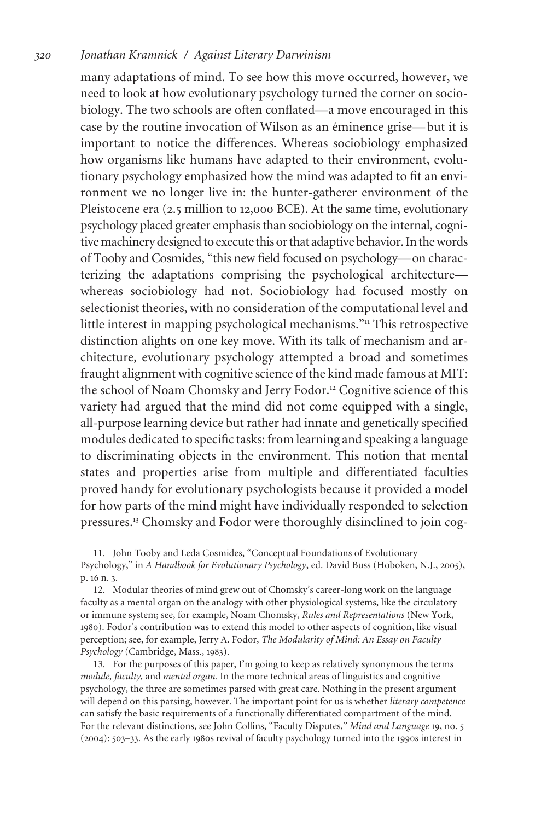many adaptations of mind. To see how this move occurred, however, we need to look at how evolutionary psychology turned the corner on sociobiology. The two schools are often conflated—a move encouraged in this case by the routine invocation of Wilson as an éminence grise— but it is important to notice the differences. Whereas sociobiology emphasized how organisms like humans have adapted to their environment, evolutionary psychology emphasized how the mind was adapted to fit an environment we no longer live in: the hunter-gatherer environment of the Pleistocene era (2.5 million to 12,000 BCE). At the same time, evolutionary psychology placed greater emphasis than sociobiology on the internal, cognitive machinery designed to execute this or that adaptive behavior. In the words of Tooby and Cosmides, "this new field focused on psychology—on characterizing the adaptations comprising the psychological architecture whereas sociobiology had not. Sociobiology had focused mostly on selectionist theories, with no consideration of the computational level and little interest in mapping psychological mechanisms."<sup>11</sup> This retrospective distinction alights on one key move. With its talk of mechanism and architecture, evolutionary psychology attempted a broad and sometimes fraught alignment with cognitive science of the kind made famous at MIT: the school of Noam Chomsky and Jerry Fodor.<sup>12</sup> Cognitive science of this variety had argued that the mind did not come equipped with a single, all-purpose learning device but rather had innate and genetically specified modules dedicated to specific tasks: from learning and speaking a language to discriminating objects in the environment. This notion that mental states and properties arise from multiple and differentiated faculties proved handy for evolutionary psychologists because it provided a model for how parts of the mind might have individually responded to selection pressures.<sup>13</sup> Chomsky and Fodor were thoroughly disinclined to join cog-

11. John Tooby and Leda Cosmides, "Conceptual Foundations of Evolutionary Psychology," in *A Handbook for Evolutionary Psychology*, ed. David Buss (Hoboken, N.J., 2005), p. 16 n. 3.

12. Modular theories of mind grew out of Chomsky's career-long work on the language faculty as a mental organ on the analogy with other physiological systems, like the circulatory or immune system; see, for example, Noam Chomsky, *Rules and Representations* (New York, 1980). Fodor's contribution was to extend this model to other aspects of cognition, like visual perception; see, for example, Jerry A. Fodor, *The Modularity of Mind: An Essay on Faculty Psychology* (Cambridge, Mass., 1983).

13. For the purposes of this paper, I'm going to keep as relatively synonymous the terms *module, faculty,* and *mental organ.* In the more technical areas of linguistics and cognitive psychology, the three are sometimes parsed with great care. Nothing in the present argument will depend on this parsing, however. The important point for us is whether *literary competence* can satisfy the basic requirements of a functionally differentiated compartment of the mind. For the relevant distinctions, see John Collins, "Faculty Disputes," *Mind and Language* 19, no. 5 (2004): 503–33. As the early 1980s revival of faculty psychology turned into the 1990s interest in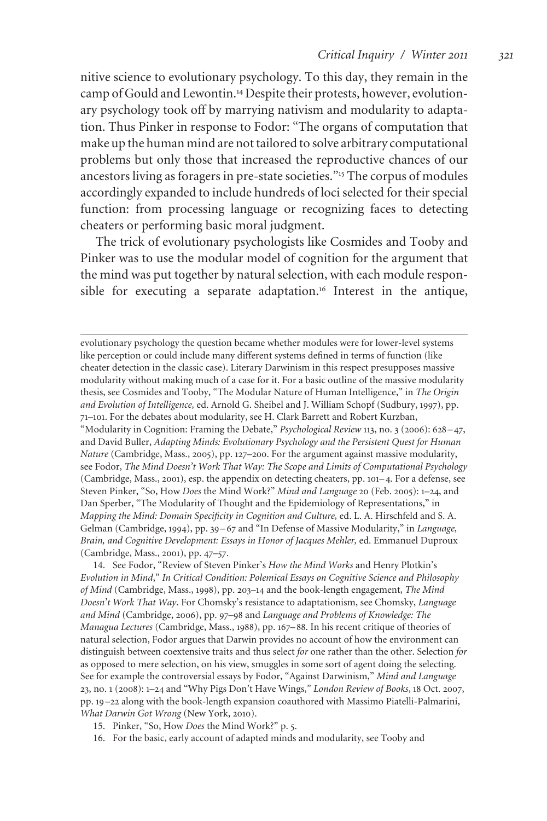nitive science to evolutionary psychology. To this day, they remain in the camp of Gould and Lewontin.<sup>14</sup> Despite their protests, however, evolutionary psychology took off by marrying nativism and modularity to adaptation. Thus Pinker in response to Fodor: "The organs of computation that make up the human mind are not tailored to solve arbitrary computational problems but only those that increased the reproductive chances of our ancestors living as foragers in pre-state societies."<sup>15</sup> The corpus of modules accordingly expanded to include hundreds of loci selected for their special function: from processing language or recognizing faces to detecting cheaters or performing basic moral judgment.

The trick of evolutionary psychologists like Cosmides and Tooby and Pinker was to use the modular model of cognition for the argument that the mind was put together by natural selection, with each module responsible for executing a separate adaptation.<sup>16</sup> Interest in the antique,

evolutionary psychology the question became whether modules were for lower-level systems like perception or could include many different systems defined in terms of function (like cheater detection in the classic case). Literary Darwinism in this respect presupposes massive modularity without making much of a case for it. For a basic outline of the massive modularity thesis, see Cosmides and Tooby, "The Modular Nature of Human Intelligence," in *The Origin and Evolution of Intelligence,* ed. Arnold G. Sheibel and J. William Schopf (Sudbury, 1997), pp. 71–101. For the debates about modularity, see H. Clark Barrett and Robert Kurzban,

"Modularity in Cognition: Framing the Debate," *Psychological Review* 113, no. 3 (2006): 628–47, and David Buller, *Adapting Minds: Evolutionary Psychology and the Persistent Quest for Human Nature* (Cambridge, Mass., 2005), pp. 127–200. For the argument against massive modularity, see Fodor, *The Mind Doesn't Work That Way: The Scope and Limits of Computational Psychology* (Cambridge, Mass., 2001), esp. the appendix on detecting cheaters, pp. 101–4. For a defense, see Steven Pinker, "So, How *Does* the Mind Work?" *Mind and Language* 20 (Feb. 2005): 1–24, and Dan Sperber, "The Modularity of Thought and the Epidemiology of Representations," in *Mapping the Mind: Domain Specificity in Cognition and Culture,* ed. L. A. Hirschfeld and S. A. Gelman (Cambridge, 1994), pp. 39–67 and "In Defense of Massive Modularity," in *Language, Brain, and Cognitive Development: Essays in Honor of Jacques Mehler,* ed. Emmanuel Duproux (Cambridge, Mass., 2001), pp. 47–57.

14. See Fodor, "Review of Steven Pinker's *How the Mind Works* and Henry Plotkin's *Evolution in Mind*," *In Critical Condition: Polemical Essays on Cognitive Science and Philosophy of Mind* (Cambridge, Mass., 1998), pp. 203–14 and the book-length engagement, *The Mind Doesn't Work That Way*. For Chomsky's resistance to adaptationism, see Chomsky, *Language and Mind* (Cambridge, 2006), pp. 97–98 and *Language and Problems of Knowledge: The Managua Lectures* (Cambridge, Mass., 1988), pp. 167–88. In his recent critique of theories of natural selection, Fodor argues that Darwin provides no account of how the environment can distinguish between coextensive traits and thus select *for* one rather than the other. Selection *for* as opposed to mere selection, on his view, smuggles in some sort of agent doing the selecting. See for example the controversial essays by Fodor, "Against Darwinism," *Mind and Language* 23, no. 1 (2008): 1–24 and "Why Pigs Don't Have Wings," *London Review of Books*, 18 Oct. 2007, pp. 19–22 along with the book-length expansion coauthored with Massimo Piatelli-Palmarini, *What Darwin Got Wrong* (New York, 2010).

- 15. Pinker, "So, How *Does* the Mind Work?" p. 5.
- 16. For the basic, early account of adapted minds and modularity, see Tooby and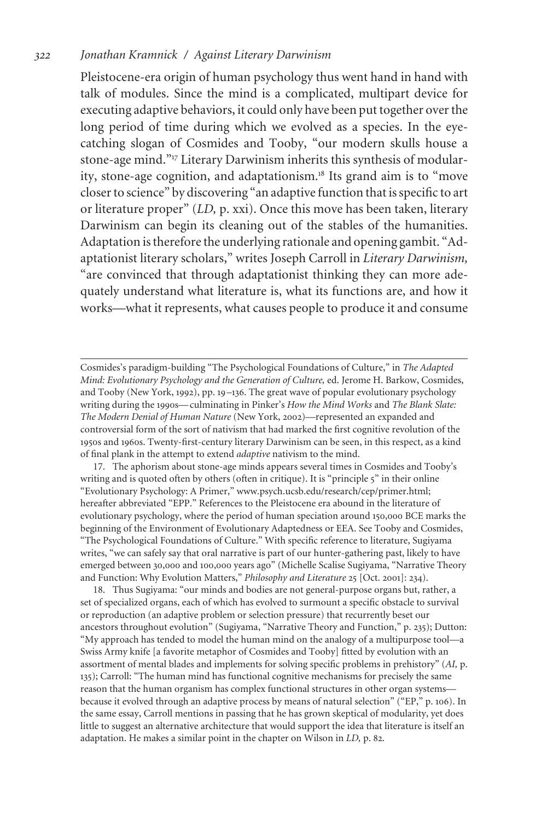Pleistocene-era origin of human psychology thus went hand in hand with talk of modules. Since the mind is a complicated, multipart device for executing adaptive behaviors, it could only have been put together over the long period of time during which we evolved as a species. In the eyecatching slogan of Cosmides and Tooby, "our modern skulls house a stone-age mind."<sup>17</sup> Literary Darwinism inherits this synthesis of modularity, stone-age cognition, and adaptationism.<sup>18</sup> Its grand aim is to "move closer to science" by discovering "an adaptive function that is specific to art or literature proper" (*LD,* p. xxi). Once this move has been taken, literary Darwinism can begin its cleaning out of the stables of the humanities. Adaptation is therefore the underlying rationale and opening gambit. "Adaptationist literary scholars," writes Joseph Carroll in *Literary Darwinism,* "are convinced that through adaptationist thinking they can more adequately understand what literature is, what its functions are, and how it works—what it represents, what causes people to produce it and consume

17. The aphorism about stone-age minds appears several times in Cosmides and Tooby's writing and is quoted often by others (often in critique). It is "principle 5" in their online "Evolutionary Psychology: A Primer," www.psych.ucsb.edu/research/cep/primer.html; hereafter abbreviated "EPP." References to the Pleistocene era abound in the literature of evolutionary psychology, where the period of human speciation around 150,000 BCE marks the beginning of the Environment of Evolutionary Adaptedness or EEA. See Tooby and Cosmides, "The Psychological Foundations of Culture." With specific reference to literature, Sugiyama writes, "we can safely say that oral narrative is part of our hunter-gathering past, likely to have emerged between 30,000 and 100,000 years ago" (Michelle Scalise Sugiyama, "Narrative Theory and Function: Why Evolution Matters," *Philosophy and Literature* 25 [Oct. 2001]: 234).

18. Thus Sugiyama: "our minds and bodies are not general-purpose organs but, rather, a set of specialized organs, each of which has evolved to surmount a specific obstacle to survival or reproduction (an adaptive problem or selection pressure) that recurrently beset our ancestors throughout evolution" (Sugiyama, "Narrative Theory and Function," p. 235); Dutton: "My approach has tended to model the human mind on the analogy of a multipurpose tool—a Swiss Army knife [a favorite metaphor of Cosmides and Tooby] fitted by evolution with an assortment of mental blades and implements for solving specific problems in prehistory" (*AI,* p. 135); Carroll: "The human mind has functional cognitive mechanisms for precisely the same reason that the human organism has complex functional structures in other organ systems because it evolved through an adaptive process by means of natural selection" ("EP," p. 106). In the same essay, Carroll mentions in passing that he has grown skeptical of modularity, yet does little to suggest an alternative architecture that would support the idea that literature is itself an adaptation. He makes a similar point in the chapter on Wilson in *LD,* p. 82.

Cosmides's paradigm-building "The Psychological Foundations of Culture," in *The Adapted Mind: Evolutionary Psychology and the Generation of Culture,* ed. Jerome H. Barkow, Cosmides, and Tooby (New York, 1992), pp. 19–136. The great wave of popular evolutionary psychology writing during the 1990s— culminating in Pinker's *How the Mind Works* and *The Blank Slate: The Modern Denial of Human Nature* (New York, 2002)—represented an expanded and controversial form of the sort of nativism that had marked the first cognitive revolution of the 1950s and 1960s. Twenty-first-century literary Darwinism can be seen, in this respect, as a kind of final plank in the attempt to extend *adaptive* nativism to the mind.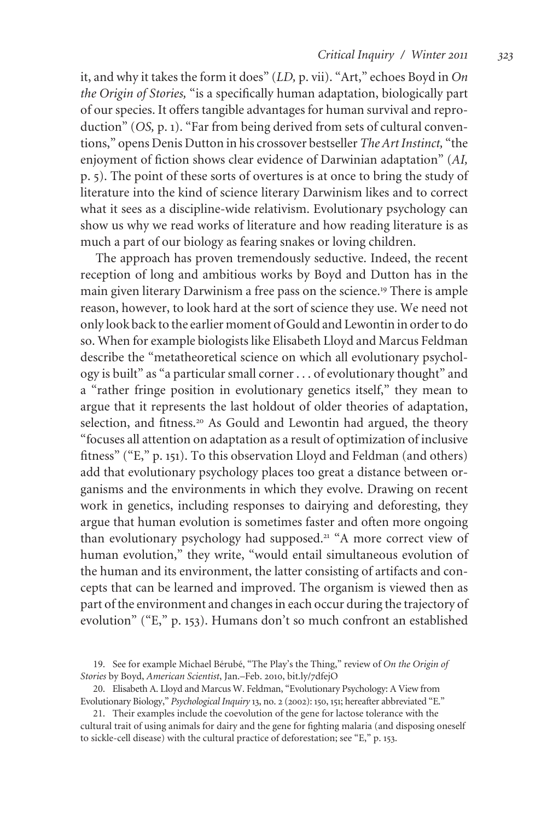it, and why it takes the form it does" (*LD,* p. vii). "Art," echoes Boyd in *On the Origin of Stories,* "is a specifically human adaptation, biologically part of our species. It offers tangible advantages for human survival and reproduction" (*OS,* p. 1). "Far from being derived from sets of cultural conventions," opens Denis Dutton in his crossover bestseller *The Art Instinct,* "the enjoyment of fiction shows clear evidence of Darwinian adaptation" (*AI,* p. 5). The point of these sorts of overtures is at once to bring the study of literature into the kind of science literary Darwinism likes and to correct what it sees as a discipline-wide relativism. Evolutionary psychology can show us why we read works of literature and how reading literature is as much a part of our biology as fearing snakes or loving children.

The approach has proven tremendously seductive. Indeed, the recent reception of long and ambitious works by Boyd and Dutton has in the main given literary Darwinism a free pass on the science.<sup>19</sup> There is ample reason, however, to look hard at the sort of science they use. We need not only look back to the earlier moment of Gould and Lewontin in order to do so. When for example biologists like Elisabeth Lloyd and Marcus Feldman describe the "metatheoretical science on which all evolutionary psychology is built" as "a particular small corner . . . of evolutionary thought" and a "rather fringe position in evolutionary genetics itself," they mean to argue that it represents the last holdout of older theories of adaptation, selection, and fitness.<sup>20</sup> As Gould and Lewontin had argued, the theory "focuses all attention on adaptation as a result of optimization of inclusive fitness" ("E," p. 151). To this observation Lloyd and Feldman (and others) add that evolutionary psychology places too great a distance between organisms and the environments in which they evolve. Drawing on recent work in genetics, including responses to dairying and deforesting, they argue that human evolution is sometimes faster and often more ongoing than evolutionary psychology had supposed.<sup>21</sup> "A more correct view of human evolution," they write, "would entail simultaneous evolution of the human and its environment, the latter consisting of artifacts and concepts that can be learned and improved. The organism is viewed then as part of the environment and changes in each occur during the trajectory of evolution" ("E," p. 153). Humans don't so much confront an established

<sup>19.</sup> See for example Michael Bérubé, "The Play's the Thing," review of *On the Origin of Stories* by Boyd, *American Scientist*, Jan.–Feb. 2010, bit.ly/7dfejO

<sup>20.</sup> Elisabeth A. Lloyd and Marcus W. Feldman, "Evolutionary Psychology: A View from Evolutionary Biology," *Psychological Inquiry* 13, no. 2 (2002): 150, 151; hereafter abbreviated "E."

<sup>21.</sup> Their examples include the coevolution of the gene for lactose tolerance with the cultural trait of using animals for dairy and the gene for fighting malaria (and disposing oneself to sickle-cell disease) with the cultural practice of deforestation; see "E," p. 153.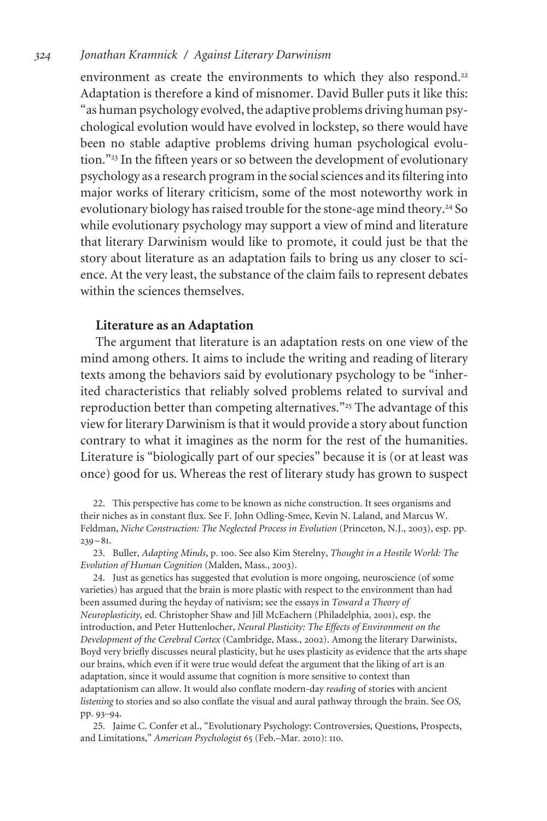environment as create the environments to which they also respond.<sup>22</sup> Adaptation is therefore a kind of misnomer. David Buller puts it like this: "as human psychology evolved, the adaptive problems driving human psychological evolution would have evolved in lockstep, so there would have been no stable adaptive problems driving human psychological evolution."<sup>23</sup> In the fifteen years or so between the development of evolutionary psychology as a research program in the social sciences and its filtering into major works of literary criticism, some of the most noteworthy work in evolutionary biology has raised trouble for the stone-age mind theory.<sup>24</sup> So while evolutionary psychology may support a view of mind and literature that literary Darwinism would like to promote, it could just be that the story about literature as an adaptation fails to bring us any closer to science. At the very least, the substance of the claim fails to represent debates within the sciences themselves.

# **Literature as an Adaptation**

The argument that literature is an adaptation rests on one view of the mind among others. It aims to include the writing and reading of literary texts among the behaviors said by evolutionary psychology to be "inherited characteristics that reliably solved problems related to survival and reproduction better than competing alternatives."<sup>25</sup> The advantage of this view for literary Darwinism is that it would provide a story about function contrary to what it imagines as the norm for the rest of the humanities. Literature is "biologically part of our species" because it is (or at least was once) good for us. Whereas the rest of literary study has grown to suspect

22. This perspective has come to be known as niche construction. It sees organisms and their niches as in constant flux. See F. John Odling-Smee, Kevin N. Laland, and Marcus W. Feldman, *Niche Construction: The Neglected Process in Evolution* (Princeton, N.J., 2003), esp. pp.  $239 - 81.$ 

23. Buller, *Adapting Minds*, p. 100. See also Kim Sterelny, *Thought in a Hostile World: The Evolution of Human Cognition* (Malden, Mass., 2003).

24. Just as genetics has suggested that evolution is more ongoing, neuroscience (of some varieties) has argued that the brain is more plastic with respect to the environment than had been assumed during the heyday of nativism; see the essays in *Toward a Theory of Neuroplasticity,* ed. Christopher Shaw and Jill McEachern (Philadelphia, 2001), esp. the introduction, and Peter Huttenlocher, *Neural Plasticity: The Effects of Environment on the Development of the Cerebral Cortex* (Cambridge, Mass., 2002). Among the literary Darwinists, Boyd very briefly discusses neural plasticity, but he uses plasticity as evidence that the arts shape our brains, which even if it were true would defeat the argument that the liking of art is an adaptation, since it would assume that cognition is more sensitive to context than adaptationism can allow. It would also conflate modern-day *reading* of stories with ancient *listening* to stories and so also conflate the visual and aural pathway through the brain. See *OS,* pp. 93–94.

25. Jaime C. Confer et al., "Evolutionary Psychology: Controversies, Questions, Prospects, and Limitations," *American Psychologist* 65 (Feb.–Mar. 2010): 110.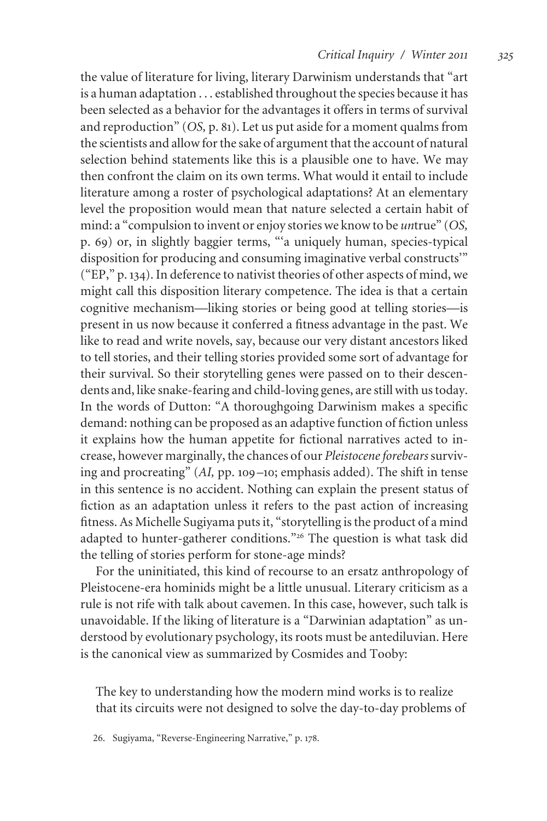the value of literature for living, literary Darwinism understands that "art is a human adaptation . . . established throughout the species because it has been selected as a behavior for the advantages it offers in terms of survival and reproduction" (*OS,* p. 81). Let us put aside for a moment qualms from the scientists and allow for the sake of argument that the account of natural selection behind statements like this is a plausible one to have. We may then confront the claim on its own terms. What would it entail to include literature among a roster of psychological adaptations? At an elementary level the proposition would mean that nature selected a certain habit of mind: a "compulsion to invent or enjoy stories we know to be *un*true" (*OS,* p. 69) or, in slightly baggier terms, "'a uniquely human, species-typical disposition for producing and consuming imaginative verbal constructs'" ("EP," p. 134). In deference to nativist theories of other aspects of mind, we might call this disposition literary competence. The idea is that a certain cognitive mechanism—liking stories or being good at telling stories—is present in us now because it conferred a fitness advantage in the past. We like to read and write novels, say, because our very distant ancestors liked to tell stories, and their telling stories provided some sort of advantage for their survival. So their storytelling genes were passed on to their descendents and, like snake-fearing and child-loving genes, are still with us today. In the words of Dutton: "A thoroughgoing Darwinism makes a specific demand: nothing can be proposed as an adaptive function of fiction unless it explains how the human appetite for fictional narratives acted to increase, however marginally, the chances of our *Pleistocene forebears*surviving and procreating" (*AI,* pp. 109–10; emphasis added). The shift in tense in this sentence is no accident. Nothing can explain the present status of fiction as an adaptation unless it refers to the past action of increasing fitness. As Michelle Sugiyama puts it, "storytelling is the product of a mind adapted to hunter-gatherer conditions."<sup>26</sup> The question is what task did the telling of stories perform for stone-age minds?

For the uninitiated, this kind of recourse to an ersatz anthropology of Pleistocene-era hominids might be a little unusual. Literary criticism as a rule is not rife with talk about cavemen. In this case, however, such talk is unavoidable. If the liking of literature is a "Darwinian adaptation" as understood by evolutionary psychology, its roots must be antediluvian. Here is the canonical view as summarized by Cosmides and Tooby:

The key to understanding how the modern mind works is to realize that its circuits were not designed to solve the day-to-day problems of

26. Sugiyama, "Reverse-Engineering Narrative," p. 178.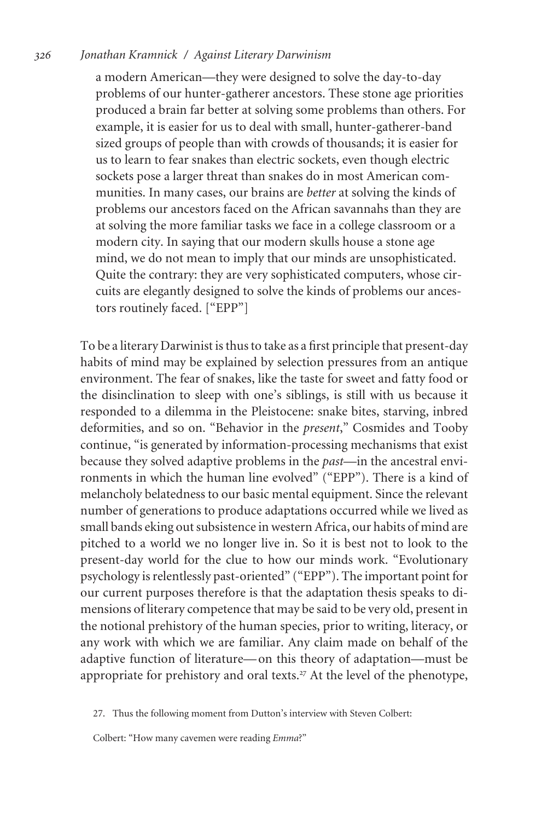a modern American—they were designed to solve the day-to-day problems of our hunter-gatherer ancestors. These stone age priorities produced a brain far better at solving some problems than others. For example, it is easier for us to deal with small, hunter-gatherer-band sized groups of people than with crowds of thousands; it is easier for us to learn to fear snakes than electric sockets, even though electric sockets pose a larger threat than snakes do in most American communities. In many cases, our brains are *better* at solving the kinds of problems our ancestors faced on the African savannahs than they are at solving the more familiar tasks we face in a college classroom or a modern city. In saying that our modern skulls house a stone age mind, we do not mean to imply that our minds are unsophisticated. Quite the contrary: they are very sophisticated computers, whose circuits are elegantly designed to solve the kinds of problems our ancestors routinely faced. ["EPP"]

To be a literary Darwinist is thus to take as a first principle that present-day habits of mind may be explained by selection pressures from an antique environment. The fear of snakes, like the taste for sweet and fatty food or the disinclination to sleep with one's siblings, is still with us because it responded to a dilemma in the Pleistocene: snake bites, starving, inbred deformities, and so on. "Behavior in the *present*," Cosmides and Tooby continue, "is generated by information-processing mechanisms that exist because they solved adaptive problems in the *past*—in the ancestral environments in which the human line evolved" ("EPP"). There is a kind of melancholy belatedness to our basic mental equipment. Since the relevant number of generations to produce adaptations occurred while we lived as small bands eking out subsistence in western Africa, our habits of mind are pitched to a world we no longer live in. So it is best not to look to the present-day world for the clue to how our minds work. "Evolutionary psychology is relentlessly past-oriented" ("EPP"). The important point for our current purposes therefore is that the adaptation thesis speaks to dimensions of literary competence that may be said to be very old, present in the notional prehistory of the human species, prior to writing, literacy, or any work with which we are familiar. Any claim made on behalf of the adaptive function of literature— on this theory of adaptation—must be appropriate for prehistory and oral texts.<sup>27</sup> At the level of the phenotype,

Colbert: "How many cavemen were reading *Emma*?"

<sup>27.</sup> Thus the following moment from Dutton's interview with Steven Colbert: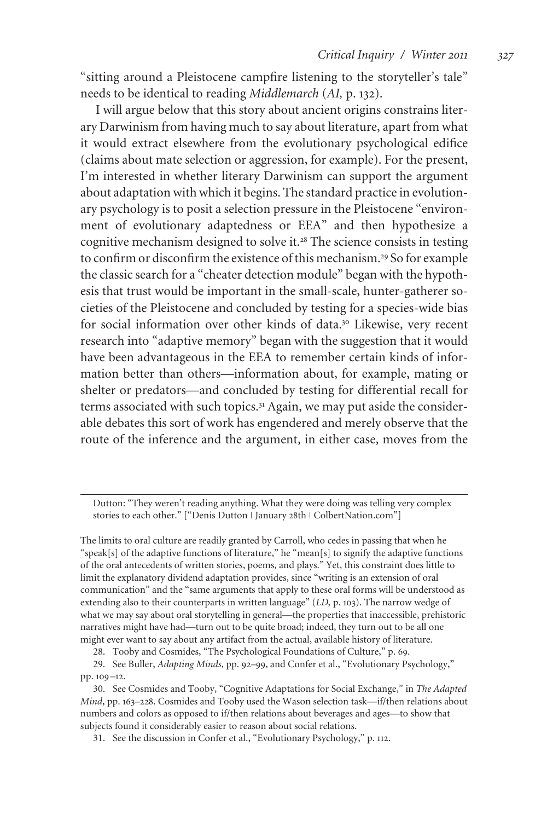"sitting around a Pleistocene campfire listening to the storyteller's tale" needs to be identical to reading *Middlemarch* (*AI,* p. 132).

I will argue below that this story about ancient origins constrains literary Darwinism from having much to say about literature, apart from what it would extract elsewhere from the evolutionary psychological edifice (claims about mate selection or aggression, for example). For the present, I'm interested in whether literary Darwinism can support the argument about adaptation with which it begins. The standard practice in evolutionary psychology is to posit a selection pressure in the Pleistocene "environment of evolutionary adaptedness or EEA" and then hypothesize a cognitive mechanism designed to solve it.<sup>28</sup> The science consists in testing to confirm or disconfirm the existence of this mechanism.<sup>29</sup> So for example the classic search for a "cheater detection module" began with the hypothesis that trust would be important in the small-scale, hunter-gatherer societies of the Pleistocene and concluded by testing for a species-wide bias for social information over other kinds of data.<sup>30</sup> Likewise, very recent research into "adaptive memory" began with the suggestion that it would have been advantageous in the EEA to remember certain kinds of information better than others—information about, for example, mating or shelter or predators—and concluded by testing for differential recall for terms associated with such topics.<sup>31</sup> Again, we may put aside the considerable debates this sort of work has engendered and merely observe that the route of the inference and the argument, in either case, moves from the

28. Tooby and Cosmides, "The Psychological Foundations of Culture," p. 69.

Dutton: "They weren't reading anything. What they were doing was telling very complex stories to each other." ["Denis Dutton | January 28th | ColbertNation.com"]

The limits to oral culture are readily granted by Carroll, who cedes in passing that when he "speak[s] of the adaptive functions of literature," he "mean[s] to signify the adaptive functions of the oral antecedents of written stories, poems, and plays." Yet, this constraint does little to limit the explanatory dividend adaptation provides, since "writing is an extension of oral communication" and the "same arguments that apply to these oral forms will be understood as extending also to their counterparts in written language" (*LD,* p. 103). The narrow wedge of what we may say about oral storytelling in general—the properties that inaccessible, prehistoric narratives might have had—turn out to be quite broad; indeed, they turn out to be all one might ever want to say about any artifact from the actual, available history of literature.

<sup>29.</sup> See Buller, *Adapting Minds*, pp. 92–99, and Confer et al., "Evolutionary Psychology," pp. 109–12.

<sup>30.</sup> See Cosmides and Tooby, "Cognitive Adaptations for Social Exchange," in *The Adapted Mind*, pp. 163–228. Cosmides and Tooby used the Wason selection task—if/then relations about numbers and colors as opposed to if/then relations about beverages and ages—to show that subjects found it considerably easier to reason about social relations.

<sup>31.</sup> See the discussion in Confer et al., "Evolutionary Psychology," p. 112.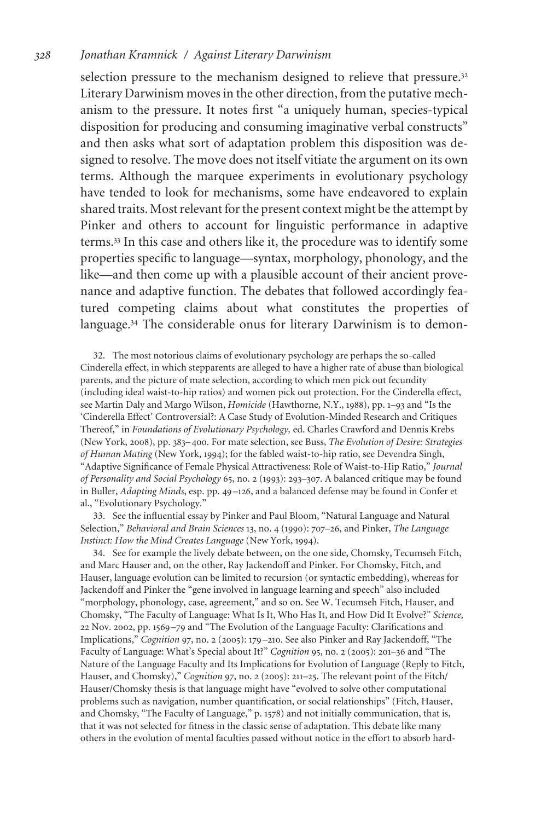selection pressure to the mechanism designed to relieve that pressure.<sup>32</sup> Literary Darwinism moves in the other direction, from the putative mechanism to the pressure. It notes first "a uniquely human, species-typical disposition for producing and consuming imaginative verbal constructs" and then asks what sort of adaptation problem this disposition was designed to resolve. The move does not itself vitiate the argument on its own terms. Although the marquee experiments in evolutionary psychology have tended to look for mechanisms, some have endeavored to explain shared traits. Most relevant for the present context might be the attempt by Pinker and others to account for linguistic performance in adaptive terms.<sup>33</sup> In this case and others like it, the procedure was to identify some properties specific to language—syntax, morphology, phonology, and the like—and then come up with a plausible account of their ancient provenance and adaptive function. The debates that followed accordingly featured competing claims about what constitutes the properties of language.<sup>34</sup> The considerable onus for literary Darwinism is to demon-

32. The most notorious claims of evolutionary psychology are perhaps the so-called Cinderella effect, in which stepparents are alleged to have a higher rate of abuse than biological parents, and the picture of mate selection, according to which men pick out fecundity (including ideal waist-to-hip ratios) and women pick out protection. For the Cinderella effect, see Martin Daly and Margo Wilson, *Homicide* (Hawthorne, N.Y., 1988), pp. 1–93 and "Is the 'Cinderella Effect' Controversial?: A Case Study of Evolution-Minded Research and Critiques Thereof," in *Foundations of Evolutionary Psychology,* ed. Charles Crawford and Dennis Krebs (New York, 2008), pp. 383–400. For mate selection, see Buss, *The Evolution of Desire: Strategies of Human Mating* (New York, 1994); for the fabled waist-to-hip ratio, see Devendra Singh, "Adaptive Significance of Female Physical Attractiveness: Role of Waist-to-Hip Ratio," *Journal of Personality and Social Psychology* 65, no. 2 (1993): 293–307. A balanced critique may be found in Buller, *Adapting Minds*, esp. pp. 49–126, and a balanced defense may be found in Confer et al., "Evolutionary Psychology."

33. See the influential essay by Pinker and Paul Bloom, "Natural Language and Natural Selection," *Behavioral and Brain Sciences* 13, no. 4 (1990): 707–26, and Pinker, *The Language Instinct: How the Mind Creates Language* (New York, 1994).

34. See for example the lively debate between, on the one side, Chomsky, Tecumseh Fitch, and Marc Hauser and, on the other, Ray Jackendoff and Pinker. For Chomsky, Fitch, and Hauser, language evolution can be limited to recursion (or syntactic embedding), whereas for Jackendoff and Pinker the "gene involved in language learning and speech" also included "morphology, phonology, case, agreement," and so on. See W. Tecumseh Fitch, Hauser, and Chomsky, "The Faculty of Language: What Is It, Who Has It, and How Did It Evolve?" *Science,* 22 Nov. 2002, pp. 1569–79 and "The Evolution of the Language Faculty: Clarifications and Implications," *Cognition* 97, no. 2 (2005): 179–210. See also Pinker and Ray Jackendoff, "The Faculty of Language: What's Special about It?" *Cognition* 95, no. 2 (2005): 201–36 and "The Nature of the Language Faculty and Its Implications for Evolution of Language (Reply to Fitch, Hauser, and Chomsky)," *Cognition* 97, no. 2 (2005): 211–25. The relevant point of the Fitch/ Hauser/Chomsky thesis is that language might have "evolved to solve other computational problems such as navigation, number quantification, or social relationships" (Fitch, Hauser, and Chomsky, "The Faculty of Language," p. 1578) and not initially communication, that is, that it was not selected for fitness in the classic sense of adaptation. This debate like many others in the evolution of mental faculties passed without notice in the effort to absorb hard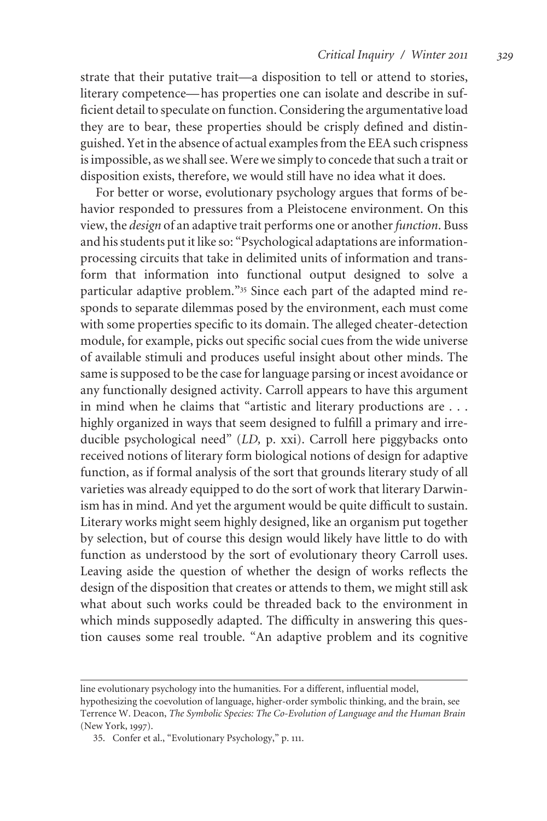strate that their putative trait—a disposition to tell or attend to stories, literary competence— has properties one can isolate and describe in sufficient detail to speculate on function. Considering the argumentative load they are to bear, these properties should be crisply defined and distinguished. Yet in the absence of actual examples from the EEA such crispness is impossible, as we shall see. Were we simply to concede that such a trait or disposition exists, therefore, we would still have no idea what it does.

For better or worse, evolutionary psychology argues that forms of behavior responded to pressures from a Pleistocene environment. On this view, the *design* of an adaptive trait performs one or another*function*. Buss and his students put it like so: "Psychological adaptations are informationprocessing circuits that take in delimited units of information and transform that information into functional output designed to solve a particular adaptive problem."<sup>35</sup> Since each part of the adapted mind responds to separate dilemmas posed by the environment, each must come with some properties specific to its domain. The alleged cheater-detection module, for example, picks out specific social cues from the wide universe of available stimuli and produces useful insight about other minds. The same is supposed to be the case for language parsing or incest avoidance or any functionally designed activity. Carroll appears to have this argument in mind when he claims that "artistic and literary productions are... highly organized in ways that seem designed to fulfill a primary and irreducible psychological need" (*LD,* p. xxi). Carroll here piggybacks onto received notions of literary form biological notions of design for adaptive function, as if formal analysis of the sort that grounds literary study of all varieties was already equipped to do the sort of work that literary Darwinism has in mind. And yet the argument would be quite difficult to sustain. Literary works might seem highly designed, like an organism put together by selection, but of course this design would likely have little to do with function as understood by the sort of evolutionary theory Carroll uses. Leaving aside the question of whether the design of works reflects the design of the disposition that creates or attends to them, we might still ask what about such works could be threaded back to the environment in which minds supposedly adapted. The difficulty in answering this question causes some real trouble. "An adaptive problem and its cognitive

line evolutionary psychology into the humanities. For a different, influential model,

hypothesizing the coevolution of language, higher-order symbolic thinking, and the brain, see Terrence W. Deacon, *The Symbolic Species: The Co-Evolution of Language and the Human Brain* (New York, 1997).

<sup>35.</sup> Confer et al., "Evolutionary Psychology," p. 111.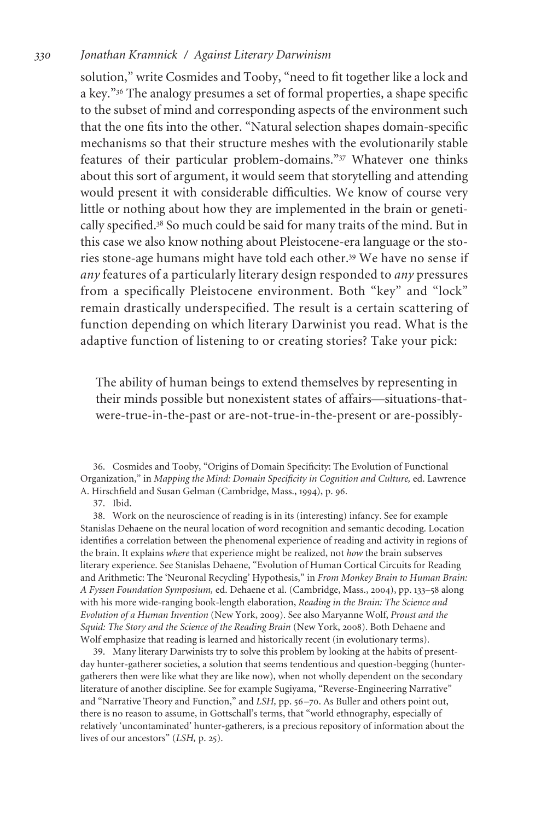solution," write Cosmides and Tooby, "need to fit together like a lock and a key."<sup>36</sup> The analogy presumes a set of formal properties, a shape specific to the subset of mind and corresponding aspects of the environment such that the one fits into the other. "Natural selection shapes domain-specific mechanisms so that their structure meshes with the evolutionarily stable features of their particular problem-domains."<sup>37</sup> Whatever one thinks about this sort of argument, it would seem that storytelling and attending would present it with considerable difficulties. We know of course very little or nothing about how they are implemented in the brain or genetically specified.<sup>38</sup> So much could be said for many traits of the mind. But in this case we also know nothing about Pleistocene-era language or the stories stone-age humans might have told each other.<sup>39</sup> We have no sense if *any* features of a particularly literary design responded to *any* pressures from a specifically Pleistocene environment. Both "key" and "lock" remain drastically underspecified. The result is a certain scattering of function depending on which literary Darwinist you read. What is the adaptive function of listening to or creating stories? Take your pick:

The ability of human beings to extend themselves by representing in their minds possible but nonexistent states of affairs—situations-thatwere-true-in-the-past or are-not-true-in-the-present or are-possibly-

36. Cosmides and Tooby, "Origins of Domain Specificity: The Evolution of Functional Organization," in *Mapping the Mind: Domain Specificity in Cognition and Culture,* ed. Lawrence A. Hirschfield and Susan Gelman (Cambridge, Mass., 1994), p. 96.

37. Ibid.

38. Work on the neuroscience of reading is in its (interesting) infancy. See for example Stanislas Dehaene on the neural location of word recognition and semantic decoding. Location identifies a correlation between the phenomenal experience of reading and activity in regions of the brain. It explains *where* that experience might be realized, not *how* the brain subserves literary experience. See Stanislas Dehaene, "Evolution of Human Cortical Circuits for Reading and Arithmetic: The 'Neuronal Recycling' Hypothesis," in *From Monkey Brain to Human Brain: A Fyssen Foundation Symposium,* ed. Dehaene et al. (Cambridge, Mass., 2004), pp. 133–58 along with his more wide-ranging book-length elaboration, *Reading in the Brain: The Science and Evolution of a Human Invention* (New York, 2009). See also Maryanne Wolf, *Proust and the Squid: The Story and the Science of the Reading Brain* (New York, 2008). Both Dehaene and Wolf emphasize that reading is learned and historically recent (in evolutionary terms).

39. Many literary Darwinists try to solve this problem by looking at the habits of presentday hunter-gatherer societies, a solution that seems tendentious and question-begging (huntergatherers then were like what they are like now), when not wholly dependent on the secondary literature of another discipline. See for example Sugiyama, "Reverse-Engineering Narrative" and "Narrative Theory and Function," and *LSH,* pp. 56–70. As Buller and others point out, there is no reason to assume, in Gottschall's terms, that "world ethnography, especially of relatively 'uncontaminated' hunter-gatherers, is a precious repository of information about the lives of our ancestors" (*LSH,* p. 25).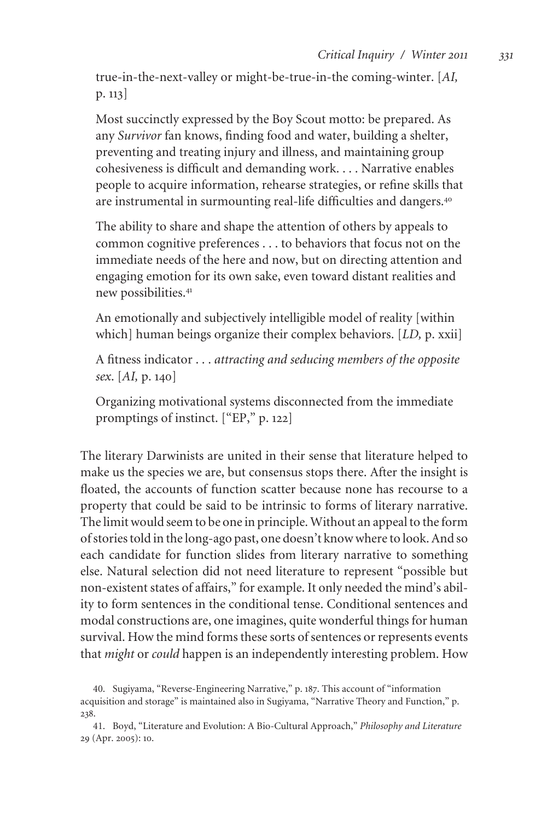true-in-the-next-valley or might-be-true-in-the coming-winter. [*AI,* p. 113]

Most succinctly expressed by the Boy Scout motto: be prepared. As any *Survivor* fan knows, finding food and water, building a shelter, preventing and treating injury and illness, and maintaining group cohesiveness is difficult and demanding work.... Narrative enables people to acquire information, rehearse strategies, or refine skills that are instrumental in surmounting real-life difficulties and dangers.<sup>40</sup>

The ability to share and shape the attention of others by appeals to common cognitive preferences . . . to behaviors that focus not on the immediate needs of the here and now, but on directing attention and engaging emotion for its own sake, even toward distant realities and new possibilities.<sup>41</sup>

An emotionally and subjectively intelligible model of reality [within which] human beings organize their complex behaviors. [*LD,* p. xxii]

A fitness indicator... *attracting and seducing members of the opposite sex*. [*AI,* p. 140]

Organizing motivational systems disconnected from the immediate promptings of instinct. ["EP," p. 122]

The literary Darwinists are united in their sense that literature helped to make us the species we are, but consensus stops there. After the insight is floated, the accounts of function scatter because none has recourse to a property that could be said to be intrinsic to forms of literary narrative. The limit would seem to be one in principle. Without an appeal to the form of stories told in the long-ago past, one doesn't know where to look. And so each candidate for function slides from literary narrative to something else. Natural selection did not need literature to represent "possible but non-existent states of affairs," for example. It only needed the mind's ability to form sentences in the conditional tense. Conditional sentences and modal constructions are, one imagines, quite wonderful things for human survival. How the mind forms these sorts of sentences or represents events that *might* or *could* happen is an independently interesting problem. How

<sup>40.</sup> Sugiyama, "Reverse-Engineering Narrative," p. 187. This account of "information acquisition and storage" is maintained also in Sugiyama, "Narrative Theory and Function," p. 238.

<sup>41.</sup> Boyd, "Literature and Evolution: A Bio-Cultural Approach," *Philosophy and Literature* 29 (Apr. 2005): 10.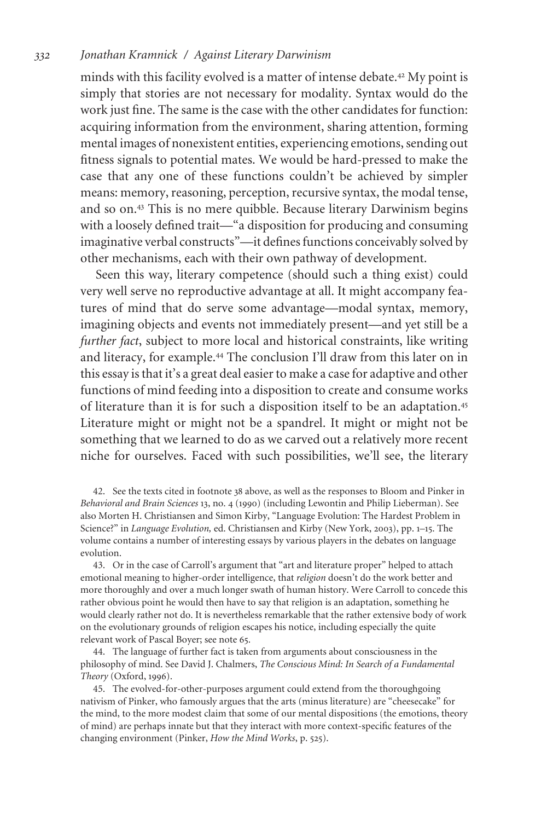minds with this facility evolved is a matter of intense debate.<sup>42</sup> My point is simply that stories are not necessary for modality. Syntax would do the work just fine. The same is the case with the other candidates for function: acquiring information from the environment, sharing attention, forming mental images of nonexistent entities, experiencing emotions, sending out fitness signals to potential mates. We would be hard-pressed to make the case that any one of these functions couldn't be achieved by simpler means: memory, reasoning, perception, recursive syntax, the modal tense, and so on.<sup>43</sup> This is no mere quibble. Because literary Darwinism begins with a loosely defined trait—"a disposition for producing and consuming imaginative verbal constructs"—it defines functions conceivably solved by other mechanisms, each with their own pathway of development.

Seen this way, literary competence (should such a thing exist) could very well serve no reproductive advantage at all. It might accompany features of mind that do serve some advantage—modal syntax, memory, imagining objects and events not immediately present—and yet still be a *further fact*, subject to more local and historical constraints, like writing and literacy, for example.<sup>44</sup> The conclusion I'll draw from this later on in this essay is that it's a great deal easier to make a case for adaptive and other functions of mind feeding into a disposition to create and consume works of literature than it is for such a disposition itself to be an adaptation.<sup>45</sup> Literature might or might not be a spandrel. It might or might not be something that we learned to do as we carved out a relatively more recent niche for ourselves. Faced with such possibilities, we'll see, the literary

42. See the texts cited in footnote 38 above, as well as the responses to Bloom and Pinker in *Behavioral and Brain Sciences* 13, no. 4 (1990) (including Lewontin and Philip Lieberman). See also Morten H. Christiansen and Simon Kirby, "Language Evolution: The Hardest Problem in Science?" in *Language Evolution,* ed. Christiansen and Kirby (New York, 2003), pp. 1–15. The volume contains a number of interesting essays by various players in the debates on language evolution.

43. Or in the case of Carroll's argument that "art and literature proper" helped to attach emotional meaning to higher-order intelligence, that *religion* doesn't do the work better and more thoroughly and over a much longer swath of human history. Were Carroll to concede this rather obvious point he would then have to say that religion is an adaptation, something he would clearly rather not do. It is nevertheless remarkable that the rather extensive body of work on the evolutionary grounds of religion escapes his notice, including especially the quite relevant work of Pascal Boyer; see note 65.

44. The language of further fact is taken from arguments about consciousness in the philosophy of mind. See David J. Chalmers, *The Conscious Mind: In Search of a Fundamental Theory* (Oxford, 1996).

45. The evolved-for-other-purposes argument could extend from the thoroughgoing nativism of Pinker, who famously argues that the arts (minus literature) are "cheesecake" for the mind, to the more modest claim that some of our mental dispositions (the emotions, theory of mind) are perhaps innate but that they interact with more context-specific features of the changing environment (Pinker, *How the Mind Works*, p. 525).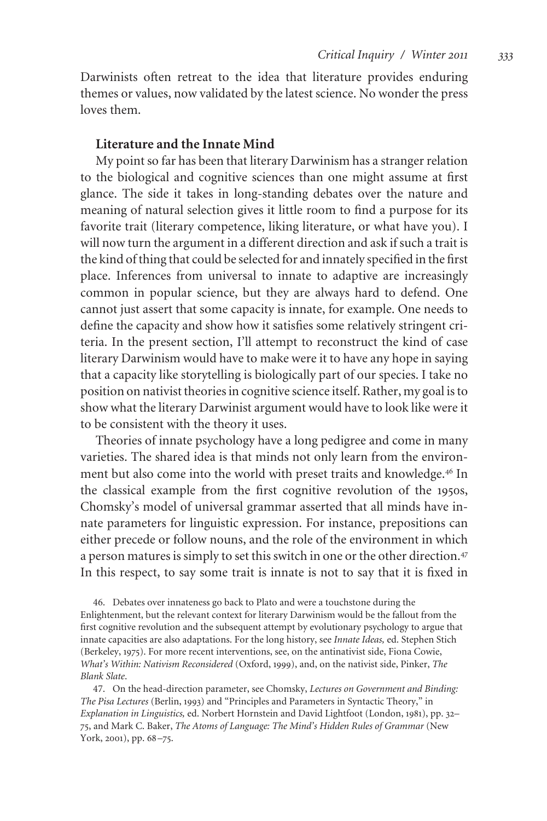Darwinists often retreat to the idea that literature provides enduring themes or values, now validated by the latest science. No wonder the press loves them.

## **Literature and the Innate Mind**

My point so far has been that literary Darwinism has a stranger relation to the biological and cognitive sciences than one might assume at first glance. The side it takes in long-standing debates over the nature and meaning of natural selection gives it little room to find a purpose for its favorite trait (literary competence, liking literature, or what have you). I will now turn the argument in a different direction and ask if such a trait is the kind of thing that could be selected for and innately specified in the first place. Inferences from universal to innate to adaptive are increasingly common in popular science, but they are always hard to defend. One cannot just assert that some capacity is innate, for example. One needs to define the capacity and show how it satisfies some relatively stringent criteria. In the present section, I'll attempt to reconstruct the kind of case literary Darwinism would have to make were it to have any hope in saying that a capacity like storytelling is biologically part of our species. I take no position on nativist theories in cognitive science itself. Rather, my goal is to show what the literary Darwinist argument would have to look like were it to be consistent with the theory it uses.

Theories of innate psychology have a long pedigree and come in many varieties. The shared idea is that minds not only learn from the environment but also come into the world with preset traits and knowledge.<sup>46</sup> In the classical example from the first cognitive revolution of the 1950s, Chomsky's model of universal grammar asserted that all minds have innate parameters for linguistic expression. For instance, prepositions can either precede or follow nouns, and the role of the environment in which a person matures is simply to set this switch in one or the other direction.<sup>47</sup> In this respect, to say some trait is innate is not to say that it is fixed in

46. Debates over innateness go back to Plato and were a touchstone during the Enlightenment, but the relevant context for literary Darwinism would be the fallout from the first cognitive revolution and the subsequent attempt by evolutionary psychology to argue that innate capacities are also adaptations. For the long history, see *Innate Ideas,* ed. Stephen Stich (Berkeley, 1975). For more recent interventions, see, on the antinativist side, Fiona Cowie, *What's Within: Nativism Reconsidered* (Oxford, 1999), and, on the nativist side, Pinker, *The Blank Slate*.

47. On the head-direction parameter, see Chomsky, *Lectures on Government and Binding: The Pisa Lectures* (Berlin, 1993) and "Principles and Parameters in Syntactic Theory," in *Explanation in Linguistics,* ed. Norbert Hornstein and David Lightfoot (London, 1981), pp. 32– 75, and Mark C. Baker, *The Atoms of Language: The Mind's Hidden Rules of Grammar* (New York, 2001), pp. 68–75.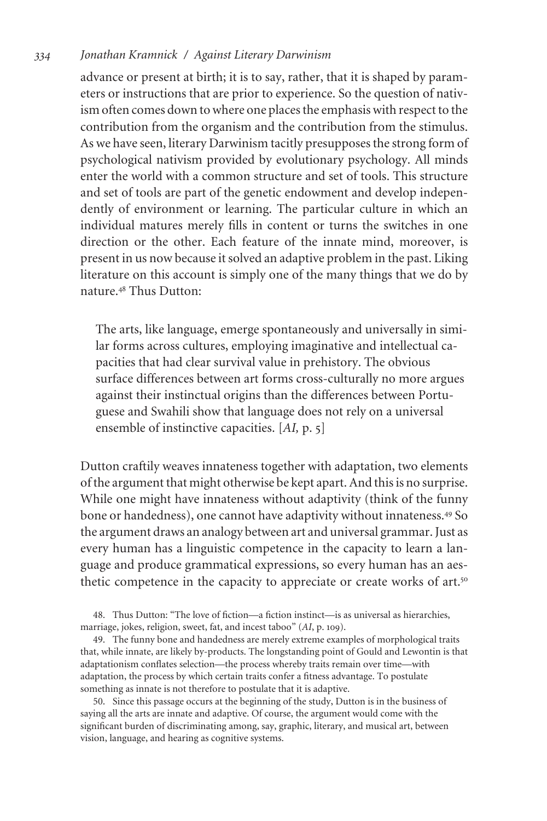advance or present at birth; it is to say, rather, that it is shaped by parameters or instructions that are prior to experience. So the question of nativism often comes down to where one places the emphasis with respect to the contribution from the organism and the contribution from the stimulus. As we have seen, literary Darwinism tacitly presupposes the strong form of psychological nativism provided by evolutionary psychology. All minds enter the world with a common structure and set of tools. This structure and set of tools are part of the genetic endowment and develop independently of environment or learning. The particular culture in which an individual matures merely fills in content or turns the switches in one direction or the other. Each feature of the innate mind, moreover, is present in us now because it solved an adaptive problem in the past. Liking literature on this account is simply one of the many things that we do by nature.<sup>48</sup> Thus Dutton:

The arts, like language, emerge spontaneously and universally in similar forms across cultures, employing imaginative and intellectual capacities that had clear survival value in prehistory. The obvious surface differences between art forms cross-culturally no more argues against their instinctual origins than the differences between Portuguese and Swahili show that language does not rely on a universal ensemble of instinctive capacities. [*AI,* p. 5]

Dutton craftily weaves innateness together with adaptation, two elements of the argument that might otherwise be kept apart. And this is no surprise. While one might have innateness without adaptivity (think of the funny bone or handedness), one cannot have adaptivity without innateness.<sup>49</sup> So the argument draws an analogy between art and universal grammar. Just as every human has a linguistic competence in the capacity to learn a language and produce grammatical expressions, so every human has an aesthetic competence in the capacity to appreciate or create works of art.<sup>50</sup>

48. Thus Dutton: "The love of fiction—a fiction instinct—is as universal as hierarchies, marriage, jokes, religion, sweet, fat, and incest taboo" (*AI*, p. 109).

49. The funny bone and handedness are merely extreme examples of morphological traits that, while innate, are likely by-products. The longstanding point of Gould and Lewontin is that adaptationism conflates selection—the process whereby traits remain over time—with adaptation, the process by which certain traits confer a fitness advantage. To postulate something as innate is not therefore to postulate that it is adaptive.

50. Since this passage occurs at the beginning of the study, Dutton is in the business of saying all the arts are innate and adaptive. Of course, the argument would come with the significant burden of discriminating among, say, graphic, literary, and musical art, between vision, language, and hearing as cognitive systems.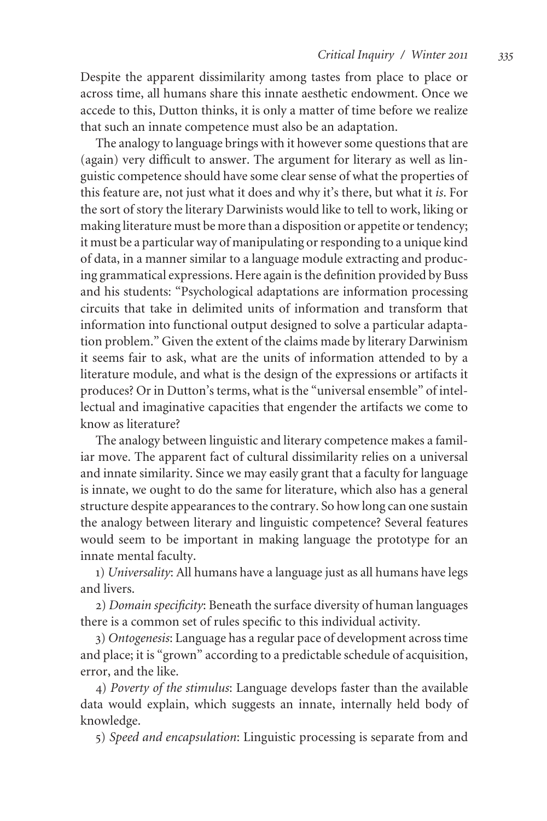Despite the apparent dissimilarity among tastes from place to place or across time, all humans share this innate aesthetic endowment. Once we accede to this, Dutton thinks, it is only a matter of time before we realize that such an innate competence must also be an adaptation.

The analogy to language brings with it however some questions that are (again) very difficult to answer. The argument for literary as well as linguistic competence should have some clear sense of what the properties of this feature are, not just what it does and why it's there, but what it *is*. For the sort of story the literary Darwinists would like to tell to work, liking or making literature must be more than a disposition or appetite or tendency; it must be a particular way of manipulating or responding to a unique kind of data, in a manner similar to a language module extracting and producing grammatical expressions. Here again is the definition provided by Buss and his students: "Psychological adaptations are information processing circuits that take in delimited units of information and transform that information into functional output designed to solve a particular adaptation problem." Given the extent of the claims made by literary Darwinism it seems fair to ask, what are the units of information attended to by a literature module, and what is the design of the expressions or artifacts it produces? Or in Dutton's terms, what is the "universal ensemble" of intellectual and imaginative capacities that engender the artifacts we come to know as literature?

The analogy between linguistic and literary competence makes a familiar move. The apparent fact of cultural dissimilarity relies on a universal and innate similarity. Since we may easily grant that a faculty for language is innate, we ought to do the same for literature, which also has a general structure despite appearances to the contrary. So how long can one sustain the analogy between literary and linguistic competence? Several features would seem to be important in making language the prototype for an innate mental faculty.

1) *Universality*: All humans have a language just as all humans have legs and livers.

2) *Domain specificity*: Beneath the surface diversity of human languages there is a common set of rules specific to this individual activity.

3) *Ontogenesis*: Language has a regular pace of development across time and place; it is "grown" according to a predictable schedule of acquisition, error, and the like.

4) *Poverty of the stimulus*: Language develops faster than the available data would explain, which suggests an innate, internally held body of knowledge.

5) *Speed and encapsulation*: Linguistic processing is separate from and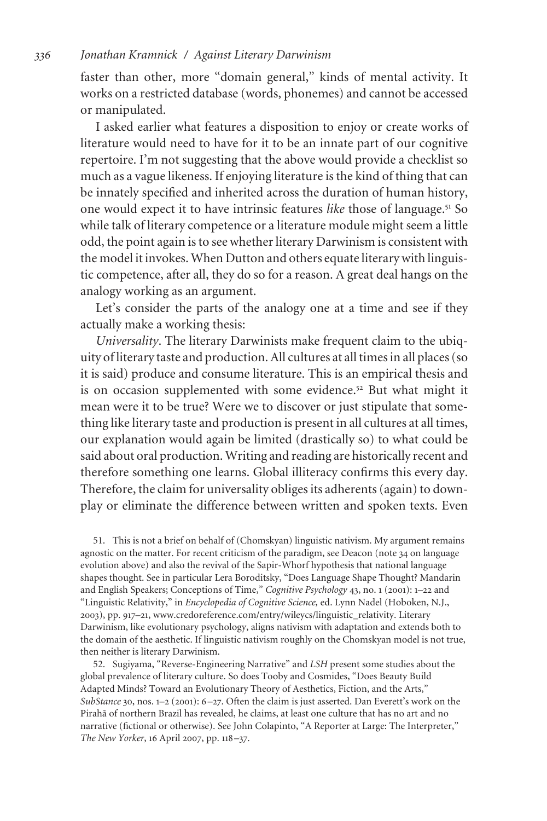faster than other, more "domain general," kinds of mental activity. It works on a restricted database (words, phonemes) and cannot be accessed or manipulated.

I asked earlier what features a disposition to enjoy or create works of literature would need to have for it to be an innate part of our cognitive repertoire. I'm not suggesting that the above would provide a checklist so much as a vague likeness. If enjoying literature is the kind of thing that can be innately specified and inherited across the duration of human history, one would expect it to have intrinsic features *like* those of language.<sup>51</sup> So while talk of literary competence or a literature module might seem a little odd, the point again is to see whether literary Darwinism is consistent with the model it invokes. When Dutton and others equate literary with linguistic competence, after all, they do so for a reason. A great deal hangs on the analogy working as an argument.

Let's consider the parts of the analogy one at a time and see if they actually make a working thesis:

*Universality*. The literary Darwinists make frequent claim to the ubiquity of literary taste and production. All cultures at all times in all places (so it is said) produce and consume literature. This is an empirical thesis and is on occasion supplemented with some evidence.<sup>52</sup> But what might it mean were it to be true? Were we to discover or just stipulate that something like literary taste and production is present in all cultures at all times, our explanation would again be limited (drastically so) to what could be said about oral production. Writing and reading are historically recent and therefore something one learns. Global illiteracy confirms this every day. Therefore, the claim for universality obliges its adherents (again) to downplay or eliminate the difference between written and spoken texts. Even

51. This is not a brief on behalf of (Chomskyan) linguistic nativism. My argument remains agnostic on the matter. For recent criticism of the paradigm, see Deacon (note 34 on language evolution above) and also the revival of the Sapir-Whorf hypothesis that national language shapes thought. See in particular Lera Boroditsky, "Does Language Shape Thought? Mandarin and English Speakers; Conceptions of Time," *Cognitive Psychology* 43, no. 1 (2001): 1–22 and "Linguistic Relativity," in *Encyclopedia of Cognitive Science,* ed. Lynn Nadel (Hoboken, N.J., 2003), pp. 917–21, www.credoreference.com/entry/wileycs/linguistic\_relativity. Literary Darwinism, like evolutionary psychology, aligns nativism with adaptation and extends both to the domain of the aesthetic. If linguistic nativism roughly on the Chomskyan model is not true, then neither is literary Darwinism.

52. Sugiyama, "Reverse-Engineering Narrative" and *LSH* present some studies about the global prevalence of literary culture. So does Tooby and Cosmides, "Does Beauty Build Adapted Minds? Toward an Evolutionary Theory of Aesthetics, Fiction, and the Arts," *SubStance* 30, nos. 1–2 (2001): 6–27. Often the claim is just asserted. Dan Everett's work on the Pirahã of northern Brazil has revealed, he claims, at least one culture that has no art and no narrative (fictional or otherwise). See John Colapinto, "A Reporter at Large: The Interpreter," *The New Yorker*, 16 April 2007, pp. 118–37.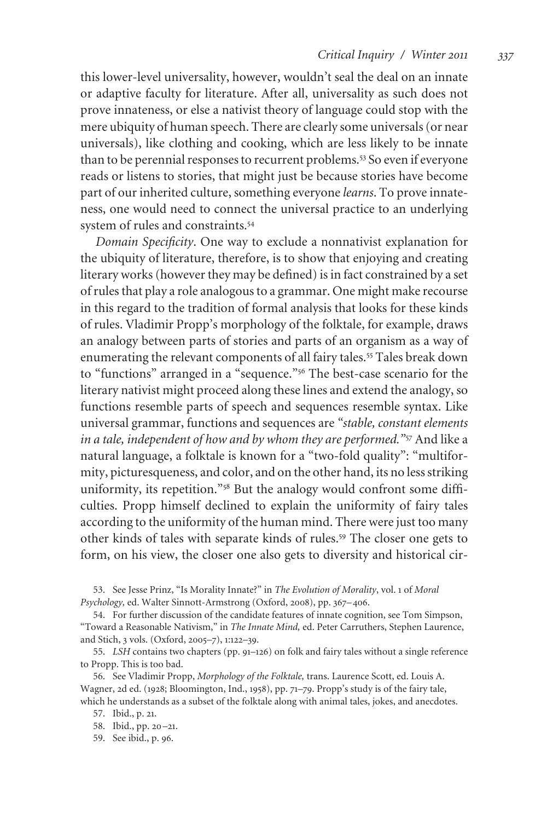this lower-level universality, however, wouldn't seal the deal on an innate or adaptive faculty for literature. After all, universality as such does not prove innateness, or else a nativist theory of language could stop with the mere ubiquity of human speech. There are clearly some universals (or near universals), like clothing and cooking, which are less likely to be innate than to be perennial responses to recurrent problems.<sup>53</sup> So even if everyone reads or listens to stories, that might just be because stories have become part of our inherited culture, something everyone *learns*. To prove innateness, one would need to connect the universal practice to an underlying system of rules and constraints.<sup>54</sup>

*Domain Specificity*. One way to exclude a nonnativist explanation for the ubiquity of literature, therefore, is to show that enjoying and creating literary works (however they may be defined) is in fact constrained by a set of rules that play a role analogous to a grammar. One might make recourse in this regard to the tradition of formal analysis that looks for these kinds of rules. Vladimir Propp's morphology of the folktale, for example, draws an analogy between parts of stories and parts of an organism as a way of enumerating the relevant components of all fairy tales.<sup>55</sup> Tales break down to "functions" arranged in a "sequence."<sup>56</sup> The best-case scenario for the literary nativist might proceed along these lines and extend the analogy, so functions resemble parts of speech and sequences resemble syntax. Like universal grammar, functions and sequences are *"stable, constant elements in a tale, independent of how and by whom they are performed."*<sup>57</sup> And like a natural language, a folktale is known for a "two-fold quality": "multiformity, picturesqueness, and color, and on the other hand, its no less striking uniformity, its repetition."<sup>58</sup> But the analogy would confront some difficulties. Propp himself declined to explain the uniformity of fairy tales according to the uniformity of the human mind. There were just too many other kinds of tales with separate kinds of rules.<sup>59</sup> The closer one gets to form, on his view, the closer one also gets to diversity and historical cir-

53. See Jesse Prinz, "Is Morality Innate?" in *The Evolution of Morality*, vol. 1 of *Moral Psychology,* ed. Walter Sinnott-Armstrong (Oxford, 2008), pp. 367–406.

54. For further discussion of the candidate features of innate cognition, see Tom Simpson, "Toward a Reasonable Nativism," in *The Innate Mind,* ed. Peter Carruthers, Stephen Laurence, and Stich, 3 vols. (Oxford, 2005–7), 1:122–39.

55. *LSH* contains two chapters (pp. 91–126) on folk and fairy tales without a single reference to Propp. This is too bad.

56. See Vladimir Propp, *Morphology of the Folktale,* trans. Laurence Scott, ed. Louis A. Wagner, 2d ed. (1928; Bloomington, Ind., 1958), pp. 71–79. Propp's study is of the fairy tale, which he understands as a subset of the folktale along with animal tales, jokes, and anecdotes.

57. Ibid., p. 21.

58. Ibid., pp. 20–21.

59. See ibid., p. 96.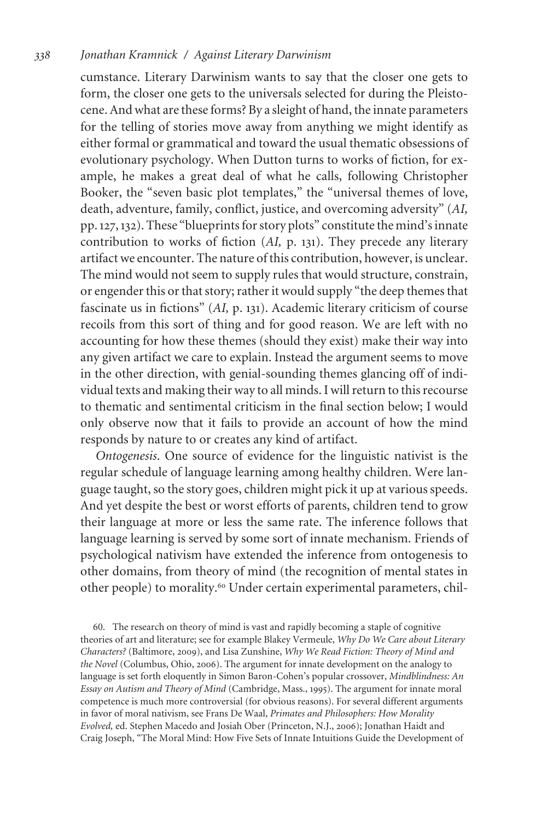cumstance. Literary Darwinism wants to say that the closer one gets to form, the closer one gets to the universals selected for during the Pleistocene. And what are these forms? By a sleight of hand, the innate parameters for the telling of stories move away from anything we might identify as either formal or grammatical and toward the usual thematic obsessions of evolutionary psychology. When Dutton turns to works of fiction, for example, he makes a great deal of what he calls, following Christopher Booker, the "seven basic plot templates," the "universal themes of love, death, adventure, family, conflict, justice, and overcoming adversity" (*AI,* pp.127,132). These "blueprints for story plots" constitute the mind's innate contribution to works of fiction (*AI,* p. 131). They precede any literary artifact we encounter. The nature of this contribution, however, is unclear. The mind would not seem to supply rules that would structure, constrain, or engender this or that story; rather it would supply "the deep themes that fascinate us in fictions" (*AI,* p. 131). Academic literary criticism of course recoils from this sort of thing and for good reason. We are left with no accounting for how these themes (should they exist) make their way into any given artifact we care to explain. Instead the argument seems to move in the other direction, with genial-sounding themes glancing off of individual texts and making their way to all minds. I will return to this recourse to thematic and sentimental criticism in the final section below; I would only observe now that it fails to provide an account of how the mind responds by nature to or creates any kind of artifact.

*Ontogenesis*. One source of evidence for the linguistic nativist is the regular schedule of language learning among healthy children. Were language taught, so the story goes, children might pick it up at various speeds. And yet despite the best or worst efforts of parents, children tend to grow their language at more or less the same rate. The inference follows that language learning is served by some sort of innate mechanism. Friends of psychological nativism have extended the inference from ontogenesis to other domains, from theory of mind (the recognition of mental states in other people) to morality.<sup>60</sup> Under certain experimental parameters, chil-

60. The research on theory of mind is vast and rapidly becoming a staple of cognitive theories of art and literature; see for example Blakey Vermeule, *Why Do We Care about Literary Characters?* (Baltimore, 2009), and Lisa Zunshine, *Why We Read Fiction: Theory of Mind and the Novel* (Columbus, Ohio, 2006). The argument for innate development on the analogy to language is set forth eloquently in Simon Baron-Cohen's popular crossover, *Mindblindness: An Essay on Autism and Theory of Mind* (Cambridge, Mass., 1995). The argument for innate moral competence is much more controversial (for obvious reasons). For several different arguments in favor of moral nativism, see Frans De Waal, *Primates and Philosophers: How Morality Evolved,* ed. Stephen Macedo and Josiah Ober (Princeton, N.J., 2006); Jonathan Haidt and Craig Joseph, "The Moral Mind: How Five Sets of Innate Intuitions Guide the Development of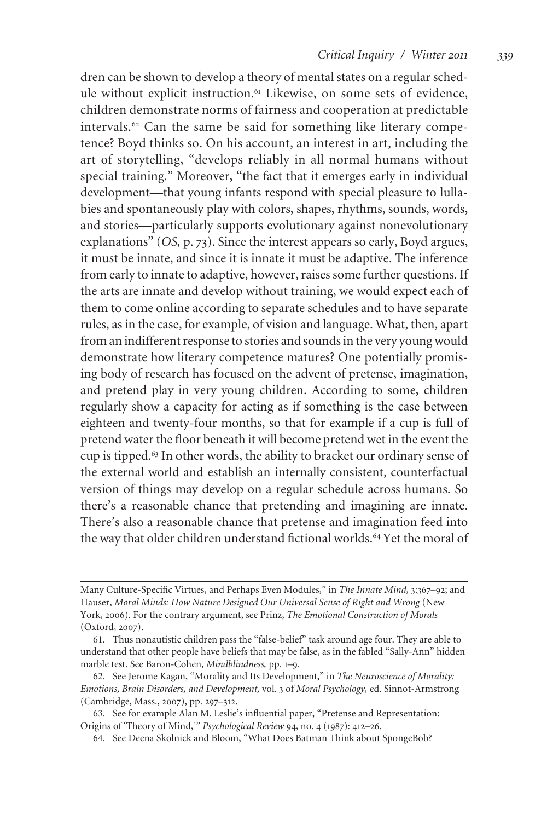dren can be shown to develop a theory of mental states on a regular schedule without explicit instruction.<sup>61</sup> Likewise, on some sets of evidence, children demonstrate norms of fairness and cooperation at predictable intervals.<sup>62</sup> Can the same be said for something like literary competence? Boyd thinks so. On his account, an interest in art, including the art of storytelling, "develops reliably in all normal humans without special training." Moreover, "the fact that it emerges early in individual development—that young infants respond with special pleasure to lullabies and spontaneously play with colors, shapes, rhythms, sounds, words, and stories—particularly supports evolutionary against nonevolutionary explanations" (*OS,* p. 73). Since the interest appears so early, Boyd argues, it must be innate, and since it is innate it must be adaptive. The inference from early to innate to adaptive, however, raises some further questions. If the arts are innate and develop without training, we would expect each of them to come online according to separate schedules and to have separate rules, as in the case, for example, of vision and language. What, then, apart from an indifferent response to stories and sounds in the very young would demonstrate how literary competence matures? One potentially promising body of research has focused on the advent of pretense, imagination, and pretend play in very young children. According to some, children regularly show a capacity for acting as if something is the case between eighteen and twenty-four months, so that for example if a cup is full of pretend water the floor beneath it will become pretend wet in the event the cup is tipped.<sup>63</sup> In other words, the ability to bracket our ordinary sense of the external world and establish an internally consistent, counterfactual version of things may develop on a regular schedule across humans. So there's a reasonable chance that pretending and imagining are innate. There's also a reasonable chance that pretense and imagination feed into the way that older children understand fictional worlds.<sup>64</sup> Yet the moral of

Many Culture-Specific Virtues, and Perhaps Even Modules," in *The Innate Mind,* 3:367–92; and Hauser, *Moral Minds: How Nature Designed Our Universal Sense of Right and Wrong* (New York, 2006). For the contrary argument, see Prinz, *The Emotional Construction of Morals* (Oxford, 2007).

<sup>61.</sup> Thus nonautistic children pass the "false-belief" task around age four. They are able to understand that other people have beliefs that may be false, as in the fabled "Sally-Ann" hidden marble test. See Baron-Cohen, *Mindblindness,* pp. 1–9.

<sup>62.</sup> See Jerome Kagan, "Morality and Its Development," in *The Neuroscience of Morality: Emotions, Brain Disorders, and Development,* vol. 3 of *Moral Psychology,* ed. Sinnot-Armstrong (Cambridge, Mass., 2007), pp. 297–312.

<sup>63.</sup> See for example Alan M. Leslie's influential paper, "Pretense and Representation: Origins of 'Theory of Mind,'" *Psychological Review* 94, no. 4 (1987): 412–26.

<sup>64.</sup> See Deena Skolnick and Bloom, "What Does Batman Think about SpongeBob?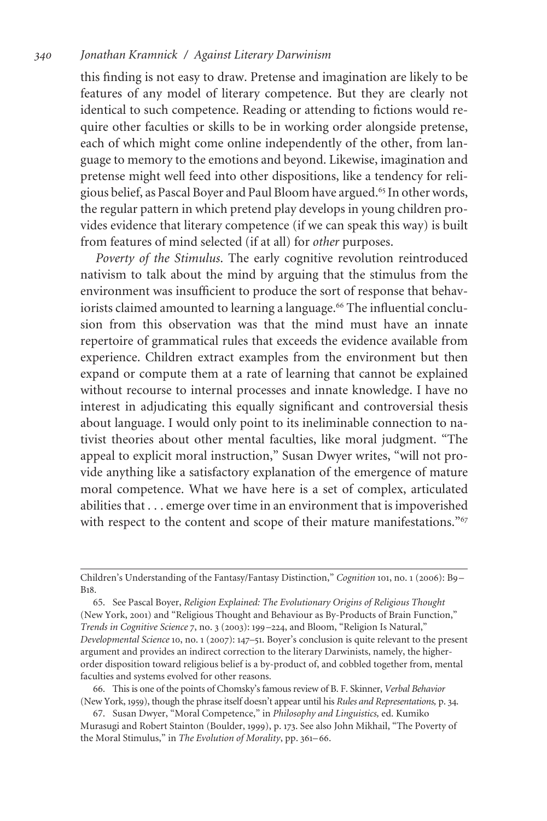this finding is not easy to draw. Pretense and imagination are likely to be features of any model of literary competence. But they are clearly not identical to such competence. Reading or attending to fictions would require other faculties or skills to be in working order alongside pretense, each of which might come online independently of the other, from language to memory to the emotions and beyond. Likewise, imagination and pretense might well feed into other dispositions, like a tendency for religious belief, as Pascal Boyer and Paul Bloom have argued.<sup>65</sup> In other words, the regular pattern in which pretend play develops in young children provides evidence that literary competence (if we can speak this way) is built from features of mind selected (if at all) for *other* purposes.

*Poverty of the Stimulus*. The early cognitive revolution reintroduced nativism to talk about the mind by arguing that the stimulus from the environment was insufficient to produce the sort of response that behaviorists claimed amounted to learning a language.<sup>66</sup> The influential conclusion from this observation was that the mind must have an innate repertoire of grammatical rules that exceeds the evidence available from experience. Children extract examples from the environment but then expand or compute them at a rate of learning that cannot be explained without recourse to internal processes and innate knowledge. I have no interest in adjudicating this equally significant and controversial thesis about language. I would only point to its ineliminable connection to nativist theories about other mental faculties, like moral judgment. "The appeal to explicit moral instruction," Susan Dwyer writes, "will not provide anything like a satisfactory explanation of the emergence of mature moral competence. What we have here is a set of complex, articulated abilities that . . . emerge over time in an environment that is impoverished with respect to the content and scope of their mature manifestations."<sup>67</sup>

Children's Understanding of the Fantasy/Fantasy Distinction," *Cognition* 101, no. 1 (2006): B9– B18.

<sup>65.</sup> See Pascal Boyer, *Religion Explained: The Evolutionary Origins of Religious Thought* (New York, 2001) and "Religious Thought and Behaviour as By-Products of Brain Function," *Trends in Cognitive Science* 7, no. 3 (2003): 199–224, and Bloom, "Religion Is Natural," *Developmental Science* 10, no. 1 (2007): 147–51. Boyer's conclusion is quite relevant to the present argument and provides an indirect correction to the literary Darwinists, namely, the higherorder disposition toward religious belief is a by-product of, and cobbled together from, mental faculties and systems evolved for other reasons.

<sup>66.</sup> This is one of the points of Chomsky's famous review of B. F. Skinner, *Verbal Behavior* (New York, 1959), though the phrase itself doesn't appear until his *Rules and Representations,* p.34.

<sup>67.</sup> Susan Dwyer, "Moral Competence," in *Philosophy and Linguistics,* ed. Kumiko Murasugi and Robert Stainton (Boulder, 1999), p. 173. See also John Mikhail, "The Poverty of the Moral Stimulus," in *The Evolution of Morality*, pp. 361–66.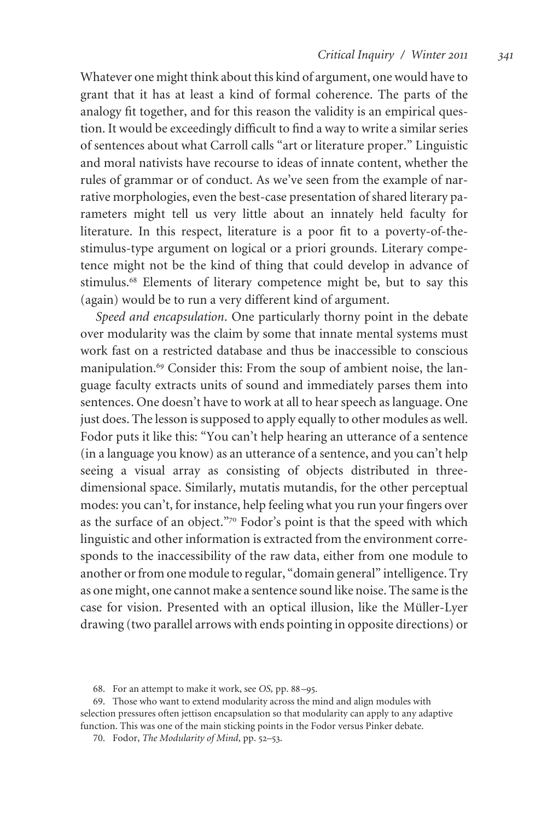Whatever one might think about this kind of argument, one would have to grant that it has at least a kind of formal coherence. The parts of the analogy fit together, and for this reason the validity is an empirical question. It would be exceedingly difficult to find a way to write a similar series of sentences about what Carroll calls "art or literature proper." Linguistic and moral nativists have recourse to ideas of innate content, whether the rules of grammar or of conduct. As we've seen from the example of narrative morphologies, even the best-case presentation of shared literary parameters might tell us very little about an innately held faculty for literature. In this respect, literature is a poor fit to a poverty-of-thestimulus-type argument on logical or a priori grounds. Literary competence might not be the kind of thing that could develop in advance of stimulus.<sup>68</sup> Elements of literary competence might be, but to say this (again) would be to run a very different kind of argument.

*Speed and encapsulation*. One particularly thorny point in the debate over modularity was the claim by some that innate mental systems must work fast on a restricted database and thus be inaccessible to conscious manipulation.<sup>69</sup> Consider this: From the soup of ambient noise, the language faculty extracts units of sound and immediately parses them into sentences. One doesn't have to work at all to hear speech as language. One just does. The lesson is supposed to apply equally to other modules as well. Fodor puts it like this: "You can't help hearing an utterance of a sentence (in a language you know) as an utterance of a sentence, and you can't help seeing a visual array as consisting of objects distributed in threedimensional space. Similarly, mutatis mutandis, for the other perceptual modes: you can't, for instance, help feeling what you run your fingers over as the surface of an object."<sup>70</sup> Fodor's point is that the speed with which linguistic and other information is extracted from the environment corresponds to the inaccessibility of the raw data, either from one module to another or from one module to regular, "domain general" intelligence. Try as one might, one cannot make a sentence sound like noise. The same is the case for vision. Presented with an optical illusion, like the Müller-Lyer drawing (two parallel arrows with ends pointing in opposite directions) or

<sup>68.</sup> For an attempt to make it work, see *OS,* pp. 88–95.

<sup>69.</sup> Those who want to extend modularity across the mind and align modules with selection pressures often jettison encapsulation so that modularity can apply to any adaptive function. This was one of the main sticking points in the Fodor versus Pinker debate.

<sup>70.</sup> Fodor, *The Modularity of Mind*, pp. 52–53.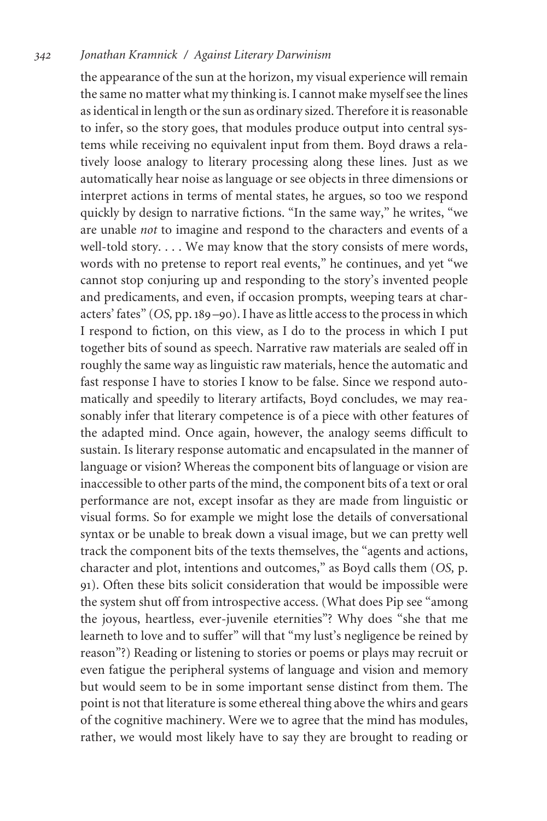the appearance of the sun at the horizon, my visual experience will remain the same no matter what my thinking is. I cannot make myself see the lines as identical in length or the sun as ordinary sized. Therefore it is reasonable to infer, so the story goes, that modules produce output into central systems while receiving no equivalent input from them. Boyd draws a relatively loose analogy to literary processing along these lines. Just as we automatically hear noise as language or see objects in three dimensions or interpret actions in terms of mental states, he argues, so too we respond quickly by design to narrative fictions. "In the same way," he writes, "we are unable *not* to imagine and respond to the characters and events of a well-told story.... We may know that the story consists of mere words, words with no pretense to report real events," he continues, and yet "we cannot stop conjuring up and responding to the story's invented people and predicaments, and even, if occasion prompts, weeping tears at characters' fates" (*OS,* pp.189–90). I have as little access to the process in which I respond to fiction, on this view, as I do to the process in which I put together bits of sound as speech. Narrative raw materials are sealed off in roughly the same way as linguistic raw materials, hence the automatic and fast response I have to stories I know to be false. Since we respond automatically and speedily to literary artifacts, Boyd concludes, we may reasonably infer that literary competence is of a piece with other features of the adapted mind. Once again, however, the analogy seems difficult to sustain. Is literary response automatic and encapsulated in the manner of language or vision? Whereas the component bits of language or vision are inaccessible to other parts of the mind, the component bits of a text or oral performance are not, except insofar as they are made from linguistic or visual forms. So for example we might lose the details of conversational syntax or be unable to break down a visual image, but we can pretty well track the component bits of the texts themselves, the "agents and actions, character and plot, intentions and outcomes," as Boyd calls them (*OS,* p. 91). Often these bits solicit consideration that would be impossible were the system shut off from introspective access. (What does Pip see "among the joyous, heartless, ever-juvenile eternities"? Why does "she that me learneth to love and to suffer" will that "my lust's negligence be reined by reason"?) Reading or listening to stories or poems or plays may recruit or even fatigue the peripheral systems of language and vision and memory but would seem to be in some important sense distinct from them. The point is not that literature is some ethereal thing above the whirs and gears of the cognitive machinery. Were we to agree that the mind has modules, rather, we would most likely have to say they are brought to reading or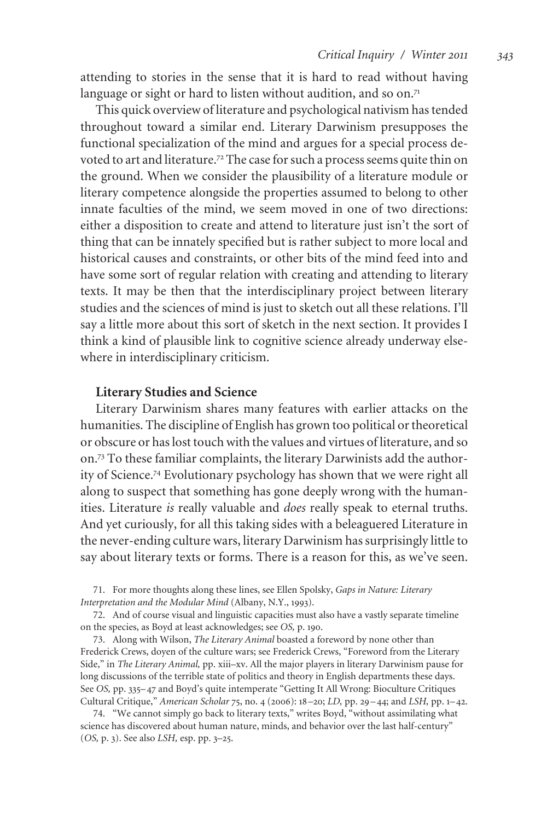attending to stories in the sense that it is hard to read without having language or sight or hard to listen without audition, and so on.<sup>71</sup>

This quick overview of literature and psychological nativism has tended throughout toward a similar end. Literary Darwinism presupposes the functional specialization of the mind and argues for a special process devoted to art and literature.<sup>72</sup> The case for such a process seems quite thin on the ground. When we consider the plausibility of a literature module or literary competence alongside the properties assumed to belong to other innate faculties of the mind, we seem moved in one of two directions: either a disposition to create and attend to literature just isn't the sort of thing that can be innately specified but is rather subject to more local and historical causes and constraints, or other bits of the mind feed into and have some sort of regular relation with creating and attending to literary texts. It may be then that the interdisciplinary project between literary studies and the sciences of mind is just to sketch out all these relations. I'll say a little more about this sort of sketch in the next section. It provides I think a kind of plausible link to cognitive science already underway elsewhere in interdisciplinary criticism.

# **Literary Studies and Science**

Literary Darwinism shares many features with earlier attacks on the humanities. The discipline of English has grown too political or theoretical or obscure or has lost touch with the values and virtues of literature, and so on.<sup>73</sup> To these familiar complaints, the literary Darwinists add the authority of Science.<sup>74</sup> Evolutionary psychology has shown that we were right all along to suspect that something has gone deeply wrong with the humanities. Literature *is* really valuable and *does* really speak to eternal truths. And yet curiously, for all this taking sides with a beleaguered Literature in the never-ending culture wars, literary Darwinism has surprisingly little to say about literary texts or forms. There is a reason for this, as we've seen.

71. For more thoughts along these lines, see Ellen Spolsky, *Gaps in Nature: Literary Interpretation and the Modular Mind* (Albany, N.Y., 1993).

72. And of course visual and linguistic capacities must also have a vastly separate timeline on the species, as Boyd at least acknowledges; see *OS,* p. 190.

73. Along with Wilson, *The Literary Animal* boasted a foreword by none other than Frederick Crews, doyen of the culture wars; see Frederick Crews, "Foreword from the Literary Side," in *The Literary Animal,* pp. xiii–xv. All the major players in literary Darwinism pause for long discussions of the terrible state of politics and theory in English departments these days. See *OS,* pp. 335–47 and Boyd's quite intemperate "Getting It All Wrong: Bioculture Critiques Cultural Critique," *American Scholar* 75, no. 4 (2006): 18–20; *LD,* pp. 29–44; and *LSH,* pp. 1–42.

74. "We cannot simply go back to literary texts," writes Boyd, "without assimilating what science has discovered about human nature, minds, and behavior over the last half-century" (*OS,* p. 3). See also *LSH,* esp. pp. 3–25.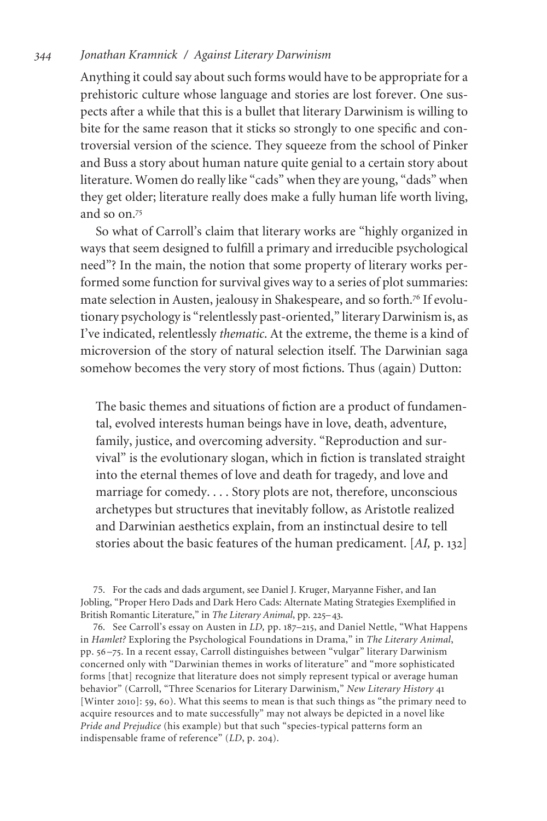Anything it could say about such forms would have to be appropriate for a prehistoric culture whose language and stories are lost forever. One suspects after a while that this is a bullet that literary Darwinism is willing to bite for the same reason that it sticks so strongly to one specific and controversial version of the science. They squeeze from the school of Pinker and Buss a story about human nature quite genial to a certain story about literature. Women do really like "cads" when they are young, "dads" when they get older; literature really does make a fully human life worth living, and so on.<sup>75</sup>

So what of Carroll's claim that literary works are "highly organized in ways that seem designed to fulfill a primary and irreducible psychological need"? In the main, the notion that some property of literary works performed some function for survival gives way to a series of plot summaries: mate selection in Austen, jealousy in Shakespeare, and so forth.<sup>76</sup> If evolutionary psychology is "relentlessly past-oriented," literary Darwinism is, as I've indicated, relentlessly *thematic*. At the extreme, the theme is a kind of microversion of the story of natural selection itself. The Darwinian saga somehow becomes the very story of most fictions. Thus (again) Dutton:

The basic themes and situations of fiction are a product of fundamental, evolved interests human beings have in love, death, adventure, family, justice, and overcoming adversity. "Reproduction and survival" is the evolutionary slogan, which in fiction is translated straight into the eternal themes of love and death for tragedy, and love and marriage for comedy.... Story plots are not, therefore, unconscious archetypes but structures that inevitably follow, as Aristotle realized and Darwinian aesthetics explain, from an instinctual desire to tell stories about the basic features of the human predicament. [*AI,* p. 132]

75. For the cads and dads argument, see Daniel J. Kruger, Maryanne Fisher, and Ian Jobling, "Proper Hero Dads and Dark Hero Cads: Alternate Mating Strategies Exemplified in British Romantic Literature," in *The Literary Animal*, pp. 225–43.

76. See Carroll's essay on Austen in *LD,* pp. 187–215, and Daniel Nettle, "What Happens in *Hamlet?* Exploring the Psychological Foundations in Drama," in *The Literary Animal*, pp. 56 –75. In a recent essay, Carroll distinguishes between "vulgar" literary Darwinism concerned only with "Darwinian themes in works of literature" and "more sophisticated forms [that] recognize that literature does not simply represent typical or average human behavior" (Carroll, "Three Scenarios for Literary Darwinism," *New Literary History* 41 [Winter 2010]: 59, 60). What this seems to mean is that such things as "the primary need to acquire resources and to mate successfully" may not always be depicted in a novel like *Pride and Prejudice* (his example) but that such "species-typical patterns form an indispensable frame of reference" (*LD*, p. 204).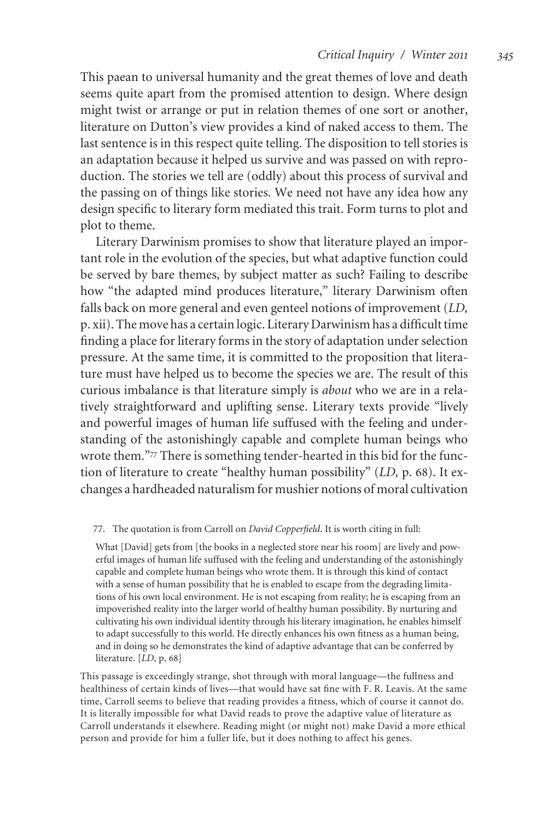This paean to universal humanity and the great themes of love and death seems quite apart from the promised attention to design. Where design might twist or arrange or put in relation themes of one sort or another, literature on Dutton's view provides a kind of naked access to them. The last sentence is in this respect quite telling. The disposition to tell stories is an adaptation because it helped us survive and was passed on with reproduction. The stories we tell are (oddly) about this process of survival and the passing on of things like stories. We need not have any idea how any design specific to literary form mediated this trait. Form turns to plot and plot to theme.

Literary Darwinism promises to show that literature played an important role in the evolution of the species, but what adaptive function could be served by bare themes, by subject matter as such? Failing to describe how "the adapted mind produces literature," literary Darwinism often falls back on more general and even genteel notions of improvement (*LD,* p. xii). The move has a certain logic. Literary Darwinism has a difficult time finding a place for literary forms in the story of adaptation under selection pressure. At the same time, it is committed to the proposition that literature must have helped us to become the species we are. The result of this curious imbalance is that literature simply is *about* who we are in a relatively straightforward and uplifting sense. Literary texts provide "lively and powerful images of human life suffused with the feeling and understanding of the astonishingly capable and complete human beings who wrote them."77 There is something tender-hearted in this bid for the function of literature to create "healthy human possibility" (*LD,* p. 68). It exchanges a hardheaded naturalism for mushier notions of moral cultivation

#### 77. The quotation is from Carroll on *David Copperfield*. It is worth citing in full:

What [David] gets from [the books in a neglected store near his room] are lively and powerful images of human life suffused with the feeling and understanding of the astonishingly capable and complete human beings who wrote them. It is through this kind of contact with a sense of human possibility that he is enabled to escape from the degrading limitations of his own local environment. He is not escaping from reality; he is escaping from an impoverished reality into the larger world of healthy human possibility. By nurturing and cultivating his own individual identity through his literary imagination, he enables himself to adapt successfully to this world. He directly enhances his own fitness as a human being, and in doing so he demonstrates the kind of adaptive advantage that can be conferred by literature. [*LD*, p. 68]

This passage is exceedingly strange, shot through with moral language—the fullness and healthiness of certain kinds of lives—that would have sat fine with F. R. Leavis. At the same time, Carroll seems to believe that reading provides a fitness, which of course it cannot do. It is literally impossible for what David reads to prove the adaptive value of literature as Carroll understands it elsewhere. Reading might (or might not) make David a more ethical person and provide for him a fuller life, but it does nothing to affect his genes.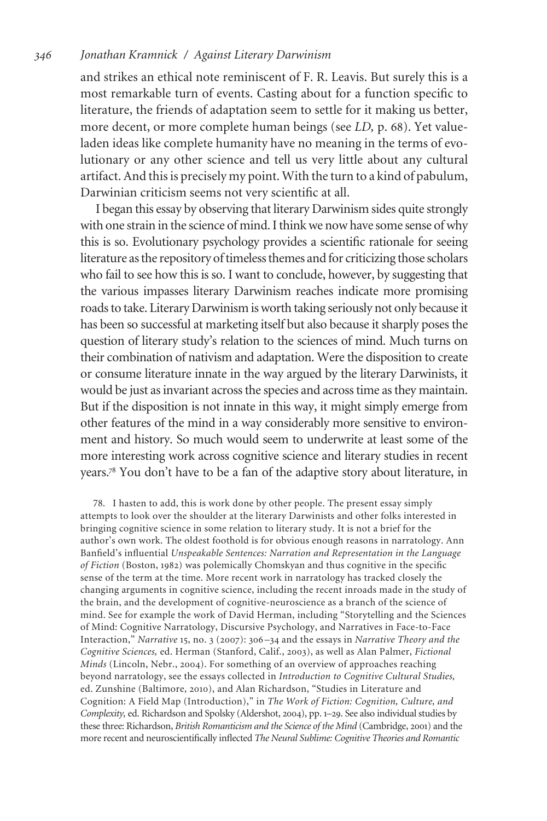and strikes an ethical note reminiscent of F. R. Leavis. But surely this is a most remarkable turn of events. Casting about for a function specific to literature, the friends of adaptation seem to settle for it making us better, more decent, or more complete human beings (see *LD,* p. 68). Yet valueladen ideas like complete humanity have no meaning in the terms of evolutionary or any other science and tell us very little about any cultural artifact. And this is precisely my point. With the turn to a kind of pabulum, Darwinian criticism seems not very scientific at all.

I began this essay by observing that literary Darwinism sides quite strongly with one strain in the science of mind. I think we now have some sense of why this is so. Evolutionary psychology provides a scientific rationale for seeing literature as the repository of timeless themes and for criticizing those scholars who fail to see how this is so. I want to conclude, however, by suggesting that the various impasses literary Darwinism reaches indicate more promising roads to take. Literary Darwinism is worth taking seriously not only because it has been so successful at marketing itself but also because it sharply poses the question of literary study's relation to the sciences of mind. Much turns on their combination of nativism and adaptation. Were the disposition to create or consume literature innate in the way argued by the literary Darwinists, it would be just as invariant across the species and across time as they maintain. But if the disposition is not innate in this way, it might simply emerge from other features of the mind in a way considerably more sensitive to environment and history. So much would seem to underwrite at least some of the more interesting work across cognitive science and literary studies in recent years.<sup>78</sup> You don't have to be a fan of the adaptive story about literature, in

78. I hasten to add, this is work done by other people. The present essay simply attempts to look over the shoulder at the literary Darwinists and other folks interested in bringing cognitive science in some relation to literary study. It is not a brief for the author's own work. The oldest foothold is for obvious enough reasons in narratology. Ann Banfield's influential *Unspeakable Sentences: Narration and Representation in the Language of Fiction* (Boston, 1982) was polemically Chomskyan and thus cognitive in the specific sense of the term at the time. More recent work in narratology has tracked closely the changing arguments in cognitive science, including the recent inroads made in the study of the brain, and the development of cognitive-neuroscience as a branch of the science of mind. See for example the work of David Herman, including "Storytelling and the Sciences of Mind: Cognitive Narratology, Discursive Psychology, and Narratives in Face-to-Face Interaction," *Narrative* 15, no. 3 (2007): 306 –34 and the essays in *Narrative Theory and the Cognitive Sciences,* ed. Herman (Stanford, Calif., 2003), as well as Alan Palmer, *Fictional Minds* (Lincoln, Nebr., 2004). For something of an overview of approaches reaching beyond narratology, see the essays collected in *Introduction to Cognitive Cultural Studies,* ed. Zunshine (Baltimore, 2010), and Alan Richardson, "Studies in Literature and Cognition: A Field Map (Introduction)," in *The Work of Fiction: Cognition, Culture, and Complexity,* ed. Richardson and Spolsky (Aldershot, 2004), pp. 1–29. See also individual studies by these three: Richardson, *British Romanticism and the Science of the Mind* (Cambridge, 2001) and the more recent and neuroscientifically inflected *The Neural Sublime: Cognitive Theories and Romantic*